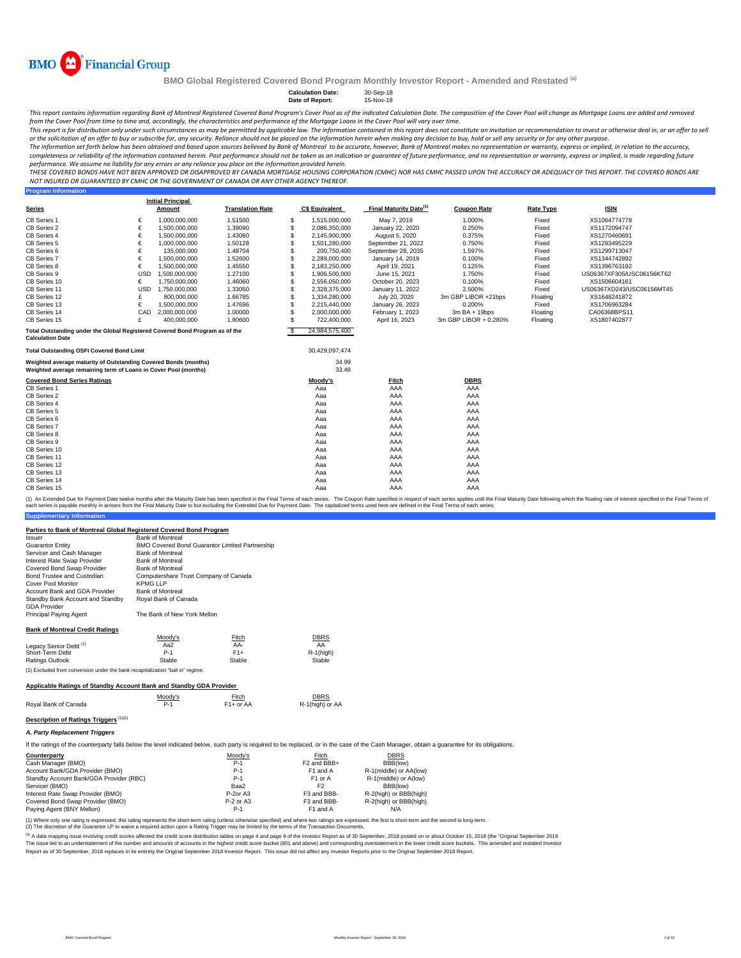

**Program Information**

**BMO Global Registered Covered Bond Program Monthly Investor Report - Amended and Restated (a)**

## **Calculation Date:** 30-Sep-18

### **Date of Report:** 15-Nov-18

This report contains information regarding Bank of Montreal Registered Covered Bond Program's Cover Pool as of the indicated Calculation Date. The composition of the Cover Pool will change as Mortgage Loans are added and r from the Cover Pool from time to time and, accordingly, the characteristics and performance of the Mortgage Loans in the Cover Pool will vary over time.

This report is for distribution only under such circumstances as may be permitted by applicable law. The information contained in this report does not constitute an invitation or recommendation to invest or otherwise deal

The information set forth below has been obtained and based upon sources believed by Bank of Montreal to be accurate, however, Bank of Montreal makes no representation or warranty, express or implied, in relation to the ac completeness or reliability of the information contained herein. Past performance should not be taken as an indication or guarantee of future performance, and no representation or warranty, express or implied, is made rega

THESE COVERED BONDS HAVE NOT BEEN APPROVED OR DISAPPROVED BY CANADA MORTGAGE HOUSING CORPORATION (CMHC) NOR HAS CMHC PASSED UPON THE ACCURACY OR ADEQUACY OF THIS REPORT. THE COVERED BONDS ARE *NOT INSURED OR GUARANTEED BY CMHC OR THE GOVERNMENT OF CANADA OR ANY OTHER AGENCY THEREOF.*

|                                                                                                         |            | <b>Initial Principal</b> |                         |              |                       |                                    |                       |                  |                           |
|---------------------------------------------------------------------------------------------------------|------------|--------------------------|-------------------------|--------------|-----------------------|------------------------------------|-----------------------|------------------|---------------------------|
| <b>Series</b>                                                                                           |            | Amount                   | <b>Translation Rate</b> |              | <b>C\$ Equivalent</b> | Final Maturity Date <sup>(1)</sup> | <b>Coupon Rate</b>    | <b>Rate Type</b> | <b>ISIN</b>               |
| CB Series 1                                                                                             | €          | 1.000.000.000            | 1.51500                 | -S           | 1,515,000,000         | May 7, 2019                        | 1.000%                | Fixed            | XS1064774778              |
| CB Series 2                                                                                             | €          | 1,500,000,000            | 1.39090                 | <b>S</b>     | 2,086,350,000         | January 22, 2020                   | 0.250%                | Fixed            | XS1172094747              |
| CB Series 4                                                                                             | €          | 1,500,000,000            | 1.43060                 | \$           | 2,145,900,000         | August 5, 2020                     | 0.375%                | Fixed            | XS1270460691              |
| CB Series 5                                                                                             | €          | 1.000.000.000            | 1.50128                 | $\mathbf{s}$ | 1,501,280,000         | September 21, 2022                 | 0.750%                | Fixed            | XS1293495229              |
| CB Series 6                                                                                             | €          | 135,000,000              | 1.48704                 | <b>S</b>     | 200.750.400           | September 28, 2035                 | 1.597%                | Fixed            | XS1299713047              |
| CB Series 7                                                                                             | €          | 1,500,000,000            | 1.52600                 | <b>S</b>     | 2,289,000,000         | January 14, 2019                   | 0.100%                | Fixed            | XS1344742892              |
| CB Series 8                                                                                             | €          | 1,500,000,000            | 1.45550                 | <b>S</b>     | 2,183,250,000         | April 19, 2021                     | 0.125%                | Fixed            | XS1396763192              |
| CB Series 9                                                                                             | <b>USD</b> | 1,500,000,000            | 1.27100                 | S            | 1,906,500,000         | June 15, 2021                      | 1.750%                | Fixed            | US06367XF305/USC06156KT62 |
| CB Series 10                                                                                            | €          | 1,750,000,000            | 1.46060                 | S            | 2,556,050,000         | October 20, 2023                   | 0.100%                | Fixed            | XS1506604161              |
| CB Series 11                                                                                            | <b>USD</b> | 1.750.000.000            | 1.33050                 | <b>S</b>     | 2.328.375.000         | January 11, 2022                   | 2.500%                | Fixed            | US06367XD243/USC06156MT45 |
| CB Series 12                                                                                            | £          | 800,000,000              | 1.66785                 | <b>S</b>     | 1.334.280.000         | July 20, 2020                      | 3m GBP LIBOR +21bps   | Floating         | XS1648241872              |
| CB Series 13                                                                                            | €          | 1.500.000.000            | 1.47696                 | S            | 2.215.440.000         | January 26, 2023                   | 0.200%                | Fixed            | XS1706963284              |
| CB Series 14                                                                                            | CAD        | 2,000,000,000            | 1.00000                 | <b>S</b>     | 2,000,000,000         | February 1, 2023                   | $3mBA + 19bps$        | Floating         | CA06368BPS11              |
| CB Series 15                                                                                            | £          | 400,000,000              | 1.80600                 | <b>S</b>     | 722,400,000           | April 16, 2023                     | 3m GBP LIBOR + 0.280% | Floating         | XS1807402877              |
| Total Outstanding under the Global Registered Covered Bond Program as of the<br><b>Calculation Date</b> |            |                          |                         | <b>S</b>     | 24,984,575,400        |                                    |                       |                  |                           |
| <b>Total Outstanding OSFI Covered Bond Limit</b>                                                        |            |                          |                         |              | 30,429,097,474        |                                    |                       |                  |                           |
| Weighted average maturity of Outstanding Covered Bonds (months)                                         |            |                          |                         |              | 34.99                 |                                    |                       |                  |                           |
| Weighted average remaining term of Loans in Cover Pool (months)                                         |            |                          |                         |              | 33.48                 |                                    |                       |                  |                           |
| <b>Covered Bond Series Ratings</b>                                                                      |            |                          |                         |              | Moody's               | Fitch                              | <b>DBRS</b>           |                  |                           |
| CB Series 1                                                                                             |            |                          |                         |              | Aaa                   | AAA                                | AAA                   |                  |                           |
| CB Series 2                                                                                             |            |                          |                         |              | Aaa                   | AAA                                | AAA                   |                  |                           |
| CB Series 4                                                                                             |            |                          |                         |              | Aaa                   | AAA                                | AAA                   |                  |                           |
| CB Series 5                                                                                             |            |                          |                         |              | Aaa                   | AAA                                | AAA                   |                  |                           |
| CB Series 6                                                                                             |            |                          |                         |              | Aaa                   | AAA                                | AAA                   |                  |                           |
| CB Series 7                                                                                             |            |                          |                         |              | Aaa                   | AAA                                | AAA                   |                  |                           |
| CB Series 8                                                                                             |            |                          |                         |              | Aaa                   | AAA                                | AAA                   |                  |                           |
| CB Series 9                                                                                             |            |                          |                         |              | Aaa                   | AAA                                | AAA                   |                  |                           |
| CB Series 10                                                                                            |            |                          |                         |              | Aaa                   | AAA                                | AAA                   |                  |                           |
| CB Series 11                                                                                            |            |                          |                         |              | Aaa                   | AAA                                | AAA                   |                  |                           |
| CB Series 12                                                                                            |            |                          |                         |              | Aaa                   | AAA                                | AAA                   |                  |                           |
| CB Series 13                                                                                            |            |                          |                         |              | Aaa                   | AAA                                | AAA                   |                  |                           |
| CB Series 14                                                                                            |            |                          |                         |              | Aaa                   | AAA                                | AAA                   |                  |                           |
| CB Series 15                                                                                            |            |                          |                         |              | Aaa                   | AAA                                | AAA                   |                  |                           |

**ntary Infor** (1) An Extended Due for Payment Date twelve months after the Maturity Date has been specified in the Final Terms of each series. The Coupon Rate specified in the Final Maturity Date to but excluding the Extended Due for Pa

## **Parties to Bank of Montreal Global Registered Covered Bond Program**

| and to bailly of monetar orosal hospotsted outched bond i respain                                                                                                                            |                                       |                                                |                         |                        |  |
|----------------------------------------------------------------------------------------------------------------------------------------------------------------------------------------------|---------------------------------------|------------------------------------------------|-------------------------|------------------------|--|
| Issuer                                                                                                                                                                                       | <b>Bank of Montreal</b>               |                                                |                         |                        |  |
| <b>Guarantor Entity</b>                                                                                                                                                                      |                                       | BMO Covered Bond Guarantor Limited Partnership |                         |                        |  |
| Servicer and Cash Manager                                                                                                                                                                    | <b>Bank of Montreal</b>               |                                                |                         |                        |  |
| Interest Rate Swap Provider                                                                                                                                                                  | <b>Bank of Montreal</b>               |                                                |                         |                        |  |
| Covered Bond Swap Provider                                                                                                                                                                   | <b>Bank of Montreal</b>               |                                                |                         |                        |  |
| Bond Trustee and Custodian                                                                                                                                                                   | Computershare Trust Company of Canada |                                                |                         |                        |  |
| <b>Cover Pool Monitor</b>                                                                                                                                                                    | <b>KPMG LLP</b>                       |                                                |                         |                        |  |
| Account Bank and GDA Provider                                                                                                                                                                | <b>Bank of Montreal</b>               |                                                |                         |                        |  |
| Standby Bank Account and Standby<br><b>GDA Provider</b>                                                                                                                                      | Royal Bank of Canada                  |                                                |                         |                        |  |
| Principal Paying Agent                                                                                                                                                                       | The Bank of New York Mellon           |                                                |                         |                        |  |
| <b>Bank of Montreal Credit Ratings</b>                                                                                                                                                       |                                       |                                                |                         |                        |  |
|                                                                                                                                                                                              | Moody's                               | Fitch                                          | <b>DBRS</b>             |                        |  |
| Legacy Senior Debt <sup>(1)</sup>                                                                                                                                                            | Aa2                                   | AA-                                            | AA                      |                        |  |
| Short-Term Debt                                                                                                                                                                              | $P-1$                                 | $F1+$                                          | $R-1$ (high)            |                        |  |
| <b>Ratings Outlook</b>                                                                                                                                                                       | Stable                                | Stable                                         | Stable                  |                        |  |
| (1) Excluded from conversion under the bank recapitalization "bail in" regime.                                                                                                               |                                       |                                                |                         |                        |  |
| Applicable Ratings of Standby Account Bank and Standby GDA Provider                                                                                                                          |                                       |                                                |                         |                        |  |
|                                                                                                                                                                                              | Moody's                               | Fitch                                          | <b>DBRS</b>             |                        |  |
| Royal Bank of Canada                                                                                                                                                                         | $P-1$                                 | $F1+$ or AA                                    | R-1(high) or AA         |                        |  |
| <b>Description of Ratings Triggers</b> (1)(2)                                                                                                                                                |                                       |                                                |                         |                        |  |
| A. Party Replacement Triggers                                                                                                                                                                |                                       |                                                |                         |                        |  |
| If the ratings of the counterparty falls below the level indicated below, such party is required to be replaced, or in the case of the Cash Manager, obtain a quarantee for its obligations. |                                       |                                                |                         |                        |  |
| Counterparty                                                                                                                                                                                 |                                       | Moody's                                        | Fitch                   | <b>DBRS</b>            |  |
| Cash Manager (BMO)                                                                                                                                                                           |                                       | $P-1$                                          | F <sub>2</sub> and BBB+ | BBB(low)               |  |
| Account Bank/GDA Provider (BMO)                                                                                                                                                              |                                       | $P-1$                                          | F1 and A                | R-1(middle) or AA(low) |  |
| Standby Account Bank/GDA Provider (RBC)                                                                                                                                                      |                                       | $P-1$                                          | F1 or A                 | R-1(middle) or A(low)  |  |
| Servicer (BMO)                                                                                                                                                                               |                                       | Baa2                                           | F <sub>2</sub>          | BBB(low)               |  |

Interest Rate Swap Provider (BMO) P-2or A3 F3 and BBB- R-2(high) or BBB(high) Covered Bond Swap Provider (BMO) P-2 or A3 F3 and BBB- R-2(high) or BBB(high) Paying Agent (BNY Mellon) P-1 F1 and A N/A

(1) Where only one rating is expressed, this rating represents the short-term rating (unless otherwise specified) and where two ratings are expressed, the first is short-term and the second is long-term.<br>(2) The discretion

(a) A data mapping issue involving credit scores affected the credit score distribution tables on page 4 and page 9 of the Investor Report as of 30 September, 2018 posted on or about October 15, 2018 (the "Original Septemb nent of the number and amounts of accounts in the highest credit score bucket (801 and above) and corresponding overstatement in the lower credit score buckets. This amended and restated Investo Report as of 30 September, 2018 replaces in its entirety the Original September 2018 Investor Report. This issue did not affect any Investor Reports prior to the Original September 2018 Report.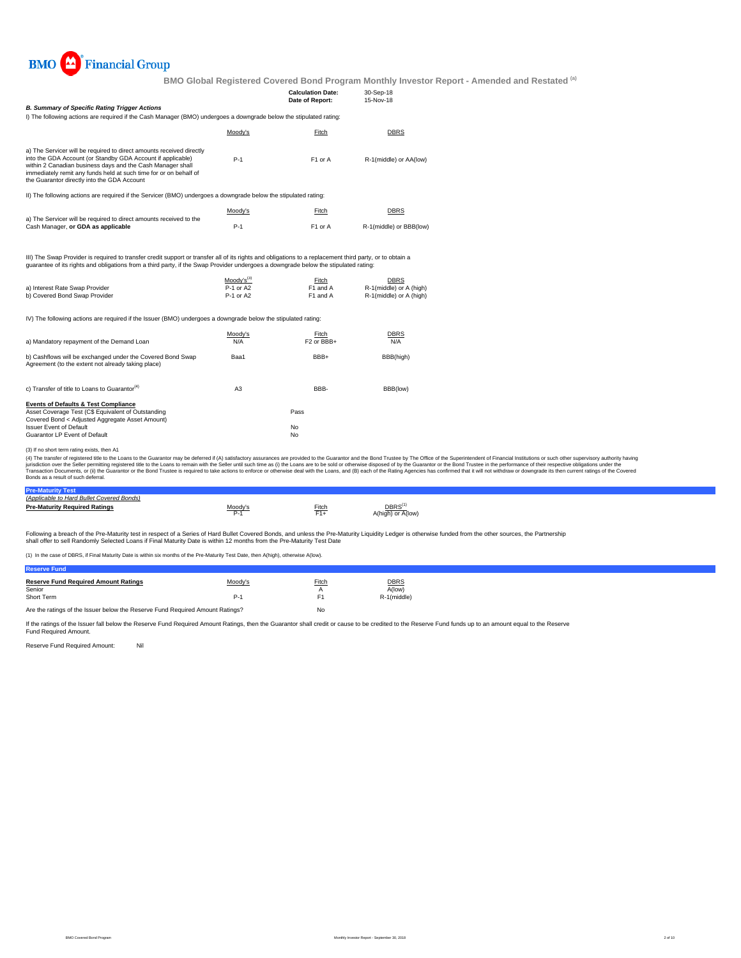

| <b>B. Summary of Specific Rating Trigger Actions</b><br>I) The following actions are required if the Cash Manager (BMO) undergoes a downgrade below the stipulated rating:                                                                                                                                                                                         |                                                  | <b>Calculation Date:</b><br>Date of Report: | 30-Sep-18<br>15-Nov-18                                            |                                                                                                                                                                                                                                                                                                                                                                                                                                                                  |
|--------------------------------------------------------------------------------------------------------------------------------------------------------------------------------------------------------------------------------------------------------------------------------------------------------------------------------------------------------------------|--------------------------------------------------|---------------------------------------------|-------------------------------------------------------------------|------------------------------------------------------------------------------------------------------------------------------------------------------------------------------------------------------------------------------------------------------------------------------------------------------------------------------------------------------------------------------------------------------------------------------------------------------------------|
|                                                                                                                                                                                                                                                                                                                                                                    | Moody's                                          | Fitch                                       | <b>DBRS</b>                                                       |                                                                                                                                                                                                                                                                                                                                                                                                                                                                  |
| a) The Servicer will be required to direct amounts received directly<br>into the GDA Account (or Standby GDA Account if applicable)<br>within 2 Canadian business days and the Cash Manager shall<br>immediately remit any funds held at such time for or on behalf of<br>the Guarantor directly into the GDA Account                                              | $P-1$                                            | F1 or A                                     | R-1(middle) or AA(low)                                            |                                                                                                                                                                                                                                                                                                                                                                                                                                                                  |
| II) The following actions are required if the Servicer (BMO) undergoes a downgrade below the stipulated rating:                                                                                                                                                                                                                                                    |                                                  |                                             |                                                                   |                                                                                                                                                                                                                                                                                                                                                                                                                                                                  |
|                                                                                                                                                                                                                                                                                                                                                                    | Moody's                                          | Fitch                                       | <b>DBRS</b>                                                       |                                                                                                                                                                                                                                                                                                                                                                                                                                                                  |
| a) The Servicer will be required to direct amounts received to the<br>Cash Manager, or GDA as applicable                                                                                                                                                                                                                                                           | $P-1$                                            | F1 or A                                     | R-1(middle) or BBB(low)                                           |                                                                                                                                                                                                                                                                                                                                                                                                                                                                  |
| III) The Swap Provider is required to transfer credit support or transfer all of its rights and obligations to a replacement third party, or to obtain a<br>guarantee of its rights and obligations from a third party, if the Swap Provider undergoes a downgrade below the stipulated rating:<br>a) Interest Rate Swap Provider<br>b) Covered Bond Swap Provider | Moody's <sup>(3)</sup><br>P-1 or A2<br>P-1 or A2 | Fitch<br>F1 and A<br>F1 and A               | <b>DBRS</b><br>R-1(middle) or A (high)<br>R-1(middle) or A (high) |                                                                                                                                                                                                                                                                                                                                                                                                                                                                  |
| IV) The following actions are required if the Issuer (BMO) undergoes a downgrade below the stipulated rating:                                                                                                                                                                                                                                                      |                                                  |                                             |                                                                   |                                                                                                                                                                                                                                                                                                                                                                                                                                                                  |
| a) Mandatory repayment of the Demand Loan                                                                                                                                                                                                                                                                                                                          | Moody's<br>N/A                                   | Fitch<br>F <sub>2</sub> or BBB+             | <b>DBRS</b><br>N/A                                                |                                                                                                                                                                                                                                                                                                                                                                                                                                                                  |
| b) Cashflows will be exchanged under the Covered Bond Swap<br>Agreement (to the extent not already taking place)                                                                                                                                                                                                                                                   | Baa1                                             | BBB+                                        | BBB(high)                                                         |                                                                                                                                                                                                                                                                                                                                                                                                                                                                  |
| c) Transfer of title to Loans to Guarantor <sup>(4)</sup>                                                                                                                                                                                                                                                                                                          | A <sub>3</sub>                                   | BBB-                                        | BBB(low)                                                          |                                                                                                                                                                                                                                                                                                                                                                                                                                                                  |
| <b>Events of Defaults &amp; Test Compliance</b><br>Asset Coverage Test (C\$ Equivalent of Outstanding<br>Covered Bond < Adjusted Aggregate Asset Amount)<br><b>Issuer Event of Default</b><br>Guarantor LP Event of Default                                                                                                                                        |                                                  | Pass<br>No<br>No                            |                                                                   |                                                                                                                                                                                                                                                                                                                                                                                                                                                                  |
| (3) If no short term rating exists, then A1<br>jurisdiction over the Seller permitting registered title to the Loans to remain with the Seller until such time as (i) the Loans are to be sold or otherwise disposed of by the Guarantor or the Bond Trustee in the performan<br>Bonds as a result of such deferral.                                               |                                                  |                                             |                                                                   | (4) The transfer of registered title to the Loans to the Guarantor may be deferred if (A) satisfactory assurances are provided to the Guarantor and the Bond Trustee by The Office of the Superintendent of Financial Institut<br>Transaction Documents, or (ii) the Guarantor or the Bond Trustee is required to take actions to enforce or otherwise deal with the Loans, and (B) each of the Rating Agencies has confirmed that it will not withdraw or downg |

| (Applicable to Hard Bullet Covered Bonds) |               |       |                                        |
|-------------------------------------------|---------------|-------|----------------------------------------|
| <b>Pre-Maturity Required Ratings</b>      | Moody's<br>-- | Fitch | DBRS <sup>®</sup><br>A(high) or A(low) |

Following a breach of the Pre-Maturity test in respect of a Series of Hard Bullet Covered Bonds, and unless the Pre-Maturity Liquidity Ledger is otherwise funded from the other sources, the Partnership<br>shall offer to sell

(1) In the case of DBRS, if Final Maturity Date is within six months of the Pre-Maturity Test Date, then A(high), otherwise A(low).

| <b>Reserve Fund</b>                                                           |         |            |                       |  |
|-------------------------------------------------------------------------------|---------|------------|-----------------------|--|
| <b>Reserve Fund Required Amount Ratings</b><br>Senior                         | Moody's | Fitch<br>А | <b>DBRS</b><br>A(low) |  |
| Short Term                                                                    | P-1     |            | R-1(middle)           |  |
| Are the ratings of the Issuer below the Reserve Fund Required Amount Ratings? |         | No         |                       |  |

If the ratings of the Issuer fall below the Reserve Fund Required Amount Ratings, then the Guarantor shall credit or cause to be credited to the Reserve Fund funds up to an amount equal to the Reserve<br>Fund Required Amount.

Reserve Fund Required Amount: Nil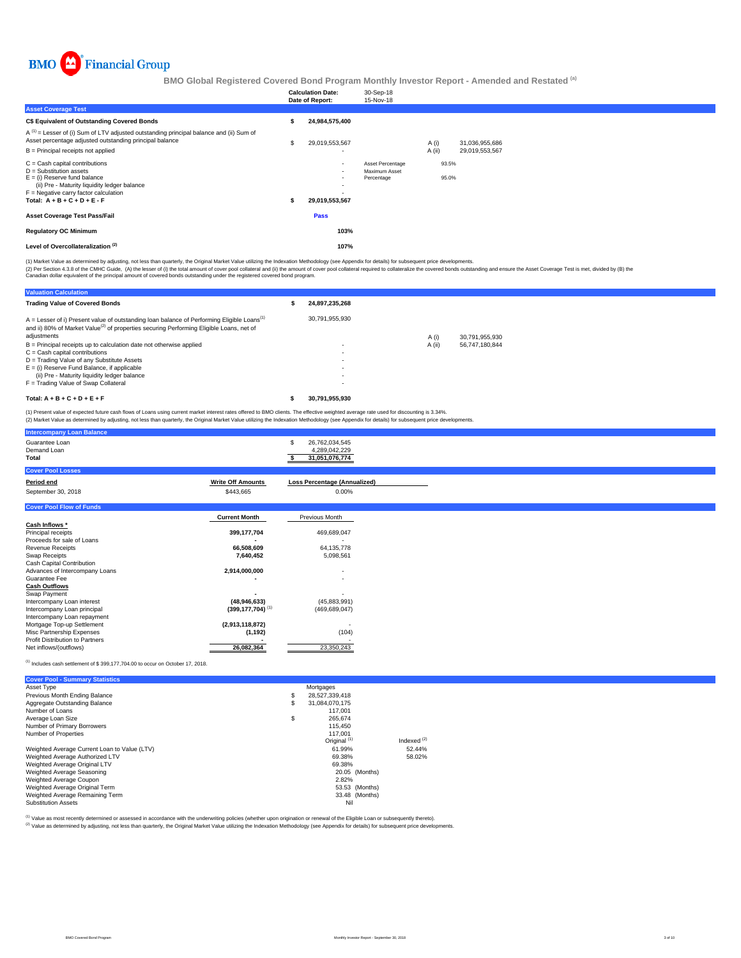

|                                                                                                                                                                                                                        |   | <b>Calculation Date:</b><br>Date of Report:        | 30-Sep-18<br>15-Nov-18                          |        |                |                |  |
|------------------------------------------------------------------------------------------------------------------------------------------------------------------------------------------------------------------------|---|----------------------------------------------------|-------------------------------------------------|--------|----------------|----------------|--|
| <b>Asset Coverage Test</b>                                                                                                                                                                                             |   |                                                    |                                                 |        |                |                |  |
| C\$ Equivalent of Outstanding Covered Bonds                                                                                                                                                                            |   | 24,984,575,400                                     |                                                 |        |                |                |  |
| $A^{(1)}$ = Lesser of (i) Sum of LTV adjusted outstanding principal balance and (ii) Sum of<br>Asset percentage adjusted outstanding principal balance                                                                 |   | 29,019,553,567                                     |                                                 | A (i)  |                | 31,036,955,686 |  |
| B = Principal receipts not applied                                                                                                                                                                                     |   | $\overline{\phantom{a}}$                           |                                                 | A (ii) |                | 29,019,553,567 |  |
| C = Cash capital contributions<br>D = Substitution assets<br>$E =$ (i) Reserve fund balance<br>(ii) Pre - Maturity liquidity ledger balance<br>F = Negative carry factor calculation<br>Total: $A + B + C + D + E - F$ | s | $\sim$<br>$\sim$<br>$\sim$<br>۰.<br>29,019,553,567 | Asset Percentage<br>Maximum Asset<br>Percentage |        | 93.5%<br>95.0% |                |  |
| Asset Coverage Test Pass/Fail                                                                                                                                                                                          |   | Pass                                               |                                                 |        |                |                |  |
| <b>Regulatory OC Minimum</b>                                                                                                                                                                                           |   | 103%                                               |                                                 |        |                |                |  |
| Level of Overcollateralization <sup>(2)</sup>                                                                                                                                                                          |   | 107%                                               |                                                 |        |                |                |  |

(1) Market Value as determined by adjusting, not less than quarterly, the Original Market Value utilizing the Indexation Methodology (see Appendix for details) for subsequent price developments.

(2) Per Section 4.3.8 of the CMHC Guide, (A) the lesser of (i) the total amount of cover pool collateral and (ii) the amount of cover pool collateral required to collateralize the covered bonds outstanding and ensure the A

| <b>Valuation Calculation</b>                                                                                                                                                                                    |                |        |                |
|-----------------------------------------------------------------------------------------------------------------------------------------------------------------------------------------------------------------|----------------|--------|----------------|
| <b>Trading Value of Covered Bonds</b>                                                                                                                                                                           | 24.897.235.268 |        |                |
| $A =$ Lesser of i) Present value of outstanding loan balance of Performing Eligible Loans <sup>(1)</sup><br>and ii) 80% of Market Value <sup>(2)</sup> of properties securing Performing Eligible Loans, net of | 30.791.955.930 |        |                |
| adjustments                                                                                                                                                                                                     |                | A (i)  | 30.791.955.930 |
| B = Principal receipts up to calculation date not otherwise applied                                                                                                                                             |                | A (ii) | 56.747.180.844 |
| $C = Cash$ capital contributions                                                                                                                                                                                |                |        |                |
| D = Trading Value of any Substitute Assets                                                                                                                                                                      |                |        |                |
| $E =$ (i) Reserve Fund Balance, if applicable                                                                                                                                                                   |                |        |                |
| (ii) Pre - Maturity liquidity ledger balance                                                                                                                                                                    |                |        |                |
| F = Trading Value of Swap Collateral                                                                                                                                                                            |                |        |                |
| Total: $A + B + C + D + E + F$                                                                                                                                                                                  | 30.791.955.930 |        |                |

(1) Present value of expected future cash flows of Loans using current market interest rates offered to BMO clients. The effective weighted average rate used for discounting is 3.34%. (2) Market Value as determined by adjusting, not less than quarterly, the Original Market Value utilizing the Indexation Methodology (see Appendix for details) for subsequent price developments.

| <b>Intercompany Loan Balance</b>       |                                                   |
|----------------------------------------|---------------------------------------------------|
| Guarantee Loan<br>Demand Loan<br>Total | 26,762,034,545<br>4,289,042,229<br>31.051.076.774 |
| <b>Cover Pool Losses</b>               |                                                   |

| Period end                      | <b>Write Off Amounts</b>         | <b>Loss Percentage (Annualized)</b> |
|---------------------------------|----------------------------------|-------------------------------------|
| September 30, 2018              | \$443,665                        | 0.00%                               |
| <b>Cover Pool Flow of Funds</b> |                                  |                                     |
|                                 | <b>Current Month</b>             | Previous Month                      |
| Cash Inflows *                  |                                  |                                     |
| Principal receipts              | 399,177,704                      | 469,689,047                         |
| Proceeds for sale of Loans      |                                  |                                     |
| Revenue Receipts                | 66,508,609                       | 64,135,778                          |
| Swap Receipts                   | 7,640,452                        | 5,098,561                           |
| Cash Capital Contribution       |                                  |                                     |
| Advances of Intercompany Loans  | 2,914,000,000                    | $\overline{\phantom{a}}$            |
| Guarantee Fee                   |                                  | $\overline{\phantom{a}}$            |
| <b>Cash Outflows</b>            |                                  |                                     |
| Swap Payment                    |                                  |                                     |
| Intercompany Loan interest      | (48, 946, 633)                   | (45,883,991)                        |
| Intercompany Loan principal     | $(399, 177, 704)$ <sup>(1)</sup> | (469, 689, 047)                     |
| Intercompany Loan repayment     |                                  |                                     |
| Mortgage Top-up Settlement      | (2,913,118,872)                  |                                     |
| Misc Partnership Expenses       | (1, 192)                         | (104)                               |
| Profit Distribution to Partners |                                  |                                     |
| Net inflows/(outflows)          | 26,082,364                       | 23,350,243                          |

 $^{(1)}$  Includes cash settlement of \$ 399,177,704.00 to occur on October 17, 2018.

| <b>Cover Pool - Summary Statistics</b>       |                         |               |
|----------------------------------------------|-------------------------|---------------|
| Asset Type                                   | Mortgages               |               |
| Previous Month Ending Balance                | \$<br>28.527.339.418    |               |
| Aggregate Outstanding Balance                | \$<br>31.084.070.175    |               |
| Number of Loans                              | 117.001                 |               |
| Average Loan Size                            | \$<br>265.674           |               |
| Number of Primary Borrowers                  | 115,450                 |               |
| Number of Properties                         | 117.001                 |               |
|                                              | Original <sup>(1)</sup> | Indexed $(2)$ |
| Weighted Average Current Loan to Value (LTV) | 61.99%                  | 52.44%        |
| Weighted Average Authorized LTV              | 69.38%                  | 58.02%        |
| Weighted Average Original LTV                | 69.38%                  |               |
| Weighted Average Seasoning                   | 20.05 (Months)          |               |
| Weighted Average Coupon                      | 2.82%                   |               |
| Weighted Average Original Term               | 53.53 (Months)          |               |
| Weighted Average Remaining Term              | 33.48 (Months)          |               |
| <b>Substitution Assets</b>                   | Nil                     |               |

Value as most recently determined or assessed in accordance with the underwriting policies (whether upon origination or renewal of the Eligible Loan or subsequently thereto).

(2) Value as determined by adjusting, not less than quarterly, the Original Market Value utilizing the Indexation Methodology (see Appendix for details) for subsequent price developments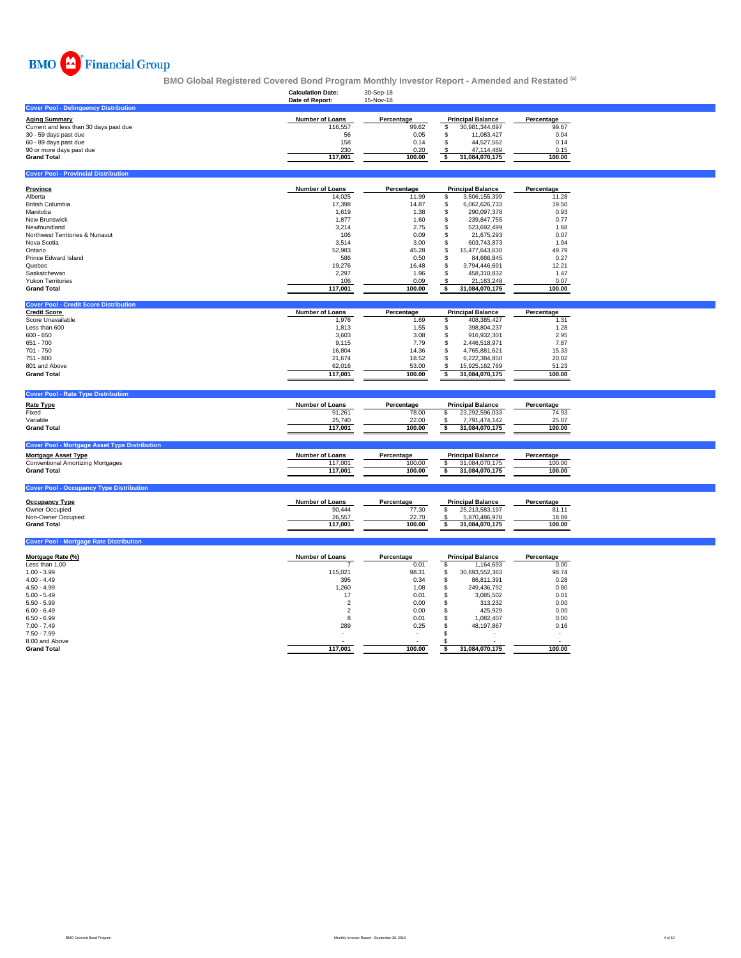

|                                                                | <b>Calculation Date:</b><br>Date of Report: | 30-Sep-18<br>15-Nov-18 |                                              |            |  |
|----------------------------------------------------------------|---------------------------------------------|------------------------|----------------------------------------------|------------|--|
| <b>Cover Pool - Delinquency Distribution</b>                   |                                             |                        |                                              |            |  |
| <b>Aging Summary</b>                                           | Number of Loans                             | Percentage             | <b>Principal Balance</b>                     | Percentage |  |
| Current and less than 30 days past due                         | 116,557                                     | 99.62                  | \$<br>30,981,344,697                         | 99.67      |  |
| 30 - 59 days past due                                          | 56                                          | 0.05                   | \$<br>11,083,427                             | 0.04       |  |
| 60 - 89 days past due                                          | 158                                         | 0.14                   | \$<br>44,527,562                             | 0.14       |  |
| 90 or more days past due                                       | 230                                         | 0.20                   | \$<br>47,114,489                             | 0.15       |  |
| <b>Grand Total</b>                                             | 117,001                                     | 100.00                 | \$<br>31,084,070,175                         | 100.00     |  |
|                                                                |                                             |                        |                                              |            |  |
| <b>Cover Pool - Provincial Distribution</b>                    |                                             |                        |                                              |            |  |
| <b>Province</b>                                                | Number of Loans                             | Percentage             | <b>Principal Balance</b>                     | Percentage |  |
| Alberta                                                        | 14,025                                      | 11.99                  | \$<br>3,506,155,399                          | 11.28      |  |
| <b>British Columbia</b>                                        | 17,398                                      | 14.87                  | \$<br>6,062,626,733                          | 19.50      |  |
| Manitoba                                                       | 1,619                                       | 1.38                   | \$<br>290,097,378                            | 0.93       |  |
| New Brunswick                                                  | 1,877                                       | 1.60                   | \$<br>239,847,755                            | 0.77       |  |
| Newfoundland                                                   | 3,214                                       | 2.75                   | \$<br>523,692,499                            | 1.68       |  |
| Northwest Territories & Nunavut                                | 106                                         | 0.09                   | \$<br>21,675,293                             | 0.07       |  |
| Nova Scotia                                                    | 3.514                                       | 3.00                   | s.<br>603.743.873                            | 1.94       |  |
| Ontario                                                        | 52,983                                      | 45.28                  | \$<br>15,477,643,630                         | 49.79      |  |
| Prince Edward Island                                           | 586                                         | 0.50                   | \$                                           | 0.27       |  |
|                                                                |                                             |                        | 84,666,845                                   |            |  |
| Quebec                                                         | 19,276                                      | 16.48                  | \$<br>3,794,446,691                          | 12.21      |  |
| Saskatchewan                                                   | 2,297                                       | 1.96                   | \$<br>458,310,832                            | 1.47       |  |
| <b>Yukon Territories</b>                                       | 106                                         | 0.09                   | \$<br>21,163,248                             | 0.07       |  |
| <b>Grand Total</b>                                             | 117,001                                     | 100.00                 | \$<br>31,084,070,175                         | 100.00     |  |
| <b>Cover Pool - Credit Score Distribution</b>                  |                                             |                        |                                              |            |  |
| <b>Credit Score</b>                                            | Number of Loans                             | Percentage             | <b>Principal Balance</b>                     | Percentage |  |
| Score Unavailable                                              | 1,976                                       | 1.69                   | 408,385,427<br>\$                            | 1.31       |  |
| Less than 600                                                  | 1,813                                       | 1.55                   | \$<br>398,804,237                            | 1.28       |  |
| $600 - 650$                                                    | 3,603                                       | 3.08                   | \$<br>916,932,301                            | 2.95       |  |
| $651 - 700$                                                    | 9,115                                       | 7.79                   | \$<br>2,446,518,971                          | 7.87       |  |
| 701 - 750                                                      | 16,804                                      | 14.36                  | \$<br>4,765,881,621                          | 15.33      |  |
| 751 - 800                                                      | 21,674                                      | 18.52                  | \$<br>6,222,384,850                          | 20.02      |  |
| 801 and Above                                                  | 62,016                                      | 53.00                  | \$<br>15,925,162,769                         | 51.23      |  |
|                                                                |                                             |                        |                                              |            |  |
| <b>Grand Total</b>                                             | 117,001                                     | 100.00                 | $\ddot{\bullet}$<br>31,084,070,175           | 100.00     |  |
| <b>Cover Pool - Rate Type Distribution</b>                     |                                             |                        |                                              |            |  |
|                                                                |                                             |                        |                                              |            |  |
| <b>Rate Type</b>                                               | Number of Loans                             | Percentage             | <b>Principal Balance</b>                     | Percentage |  |
| Fixed                                                          | 91,261                                      | 78.00                  | \$<br>23,292,596,033                         | 74.93      |  |
| Variable                                                       | 25,740                                      | 22.00                  | 7,791,474,142<br>-S                          | 25.07      |  |
| <b>Grand Total</b>                                             | 117,001                                     | 100.00                 | \$<br>31,084,070,175                         | 100.00     |  |
| <b>Cover Pool - Mortgage Asset Type Distribution</b>           |                                             |                        |                                              |            |  |
| <b>Mortgage Asset Type</b>                                     | Number of Loans                             | Percentage             | <b>Principal Balance</b>                     | Percentage |  |
|                                                                |                                             |                        |                                              | 100.00     |  |
| <b>Conventional Amortizing Mortgages</b><br><b>Grand Total</b> | 117,001<br>117,001                          | 100.00<br>100.00       | 31,084,070,175<br>\$<br>31,084,070,175<br>\$ | 100.00     |  |
|                                                                |                                             |                        |                                              |            |  |
| <b>Cover Pool - Occupancy Type Distribution</b>                |                                             |                        |                                              |            |  |
| <b>Occupancy Type</b>                                          | Number of Loans                             | Percentage             | <b>Principal Balance</b>                     | Percentage |  |
| Owner Occupied                                                 | 90,444                                      | 77.30                  | \$<br>25,213,583,197                         | 81.11      |  |
| Non-Owner Occupied                                             |                                             | 22.70                  | 5,870,486,978<br>\$                          | 18.89      |  |
| <b>Grand Total</b>                                             | 26,557<br>117,001                           | 100.00                 | \$<br>31,084,070,175                         | 100.00     |  |
|                                                                |                                             |                        |                                              |            |  |
| <b>Cover Pool - Mortgage Rate Distribution</b>                 |                                             |                        |                                              |            |  |
| Mortgage Rate (%)                                              | Number of Loans                             | Percentage             | <b>Principal Balance</b>                     | Percentage |  |
| Less than 1.00                                                 |                                             | 0.01                   | \$<br>1,164,693                              | 0.00       |  |
| $1.00 - 3.99$                                                  | 115,021                                     | 98.31                  | 30,693,552,363<br>\$                         | 98.74      |  |
| $4.00 - 4.49$                                                  |                                             |                        |                                              |            |  |
|                                                                | 395                                         | 0.34                   | \$<br>86,811,391                             | 0.28       |  |
| $4.50 - 4.99$                                                  | 1,260                                       | 1.08                   | \$<br>249,436,792                            | 0.80       |  |
| $5.00 - 5.49$                                                  | 17                                          | 0.01                   | \$<br>3,085,502                              | 0.01       |  |
| $5.50 - 5.99$                                                  | $\overline{2}$                              | 0.00                   | \$<br>313,232                                | 0.00       |  |
| $6.00 - 6.49$                                                  | $\overline{2}$                              | 0.00                   | \$<br>425,929                                | 0.00       |  |
| $6.50 - 6.99$                                                  | 8                                           | 0.01                   | \$<br>1,082,407                              | 0.00       |  |
| $7.00 - 7.49$                                                  | 289                                         | 0.25                   | \$<br>48,197,867                             | 0.16       |  |
| $7.50 - 7.99$                                                  |                                             |                        | £.                                           |            |  |
| 8.00 and Above                                                 |                                             |                        | S.                                           |            |  |
| <b>Grand Total</b>                                             | 117,001                                     | 100.00                 | 31.084.070.175<br>\$                         | 100.00     |  |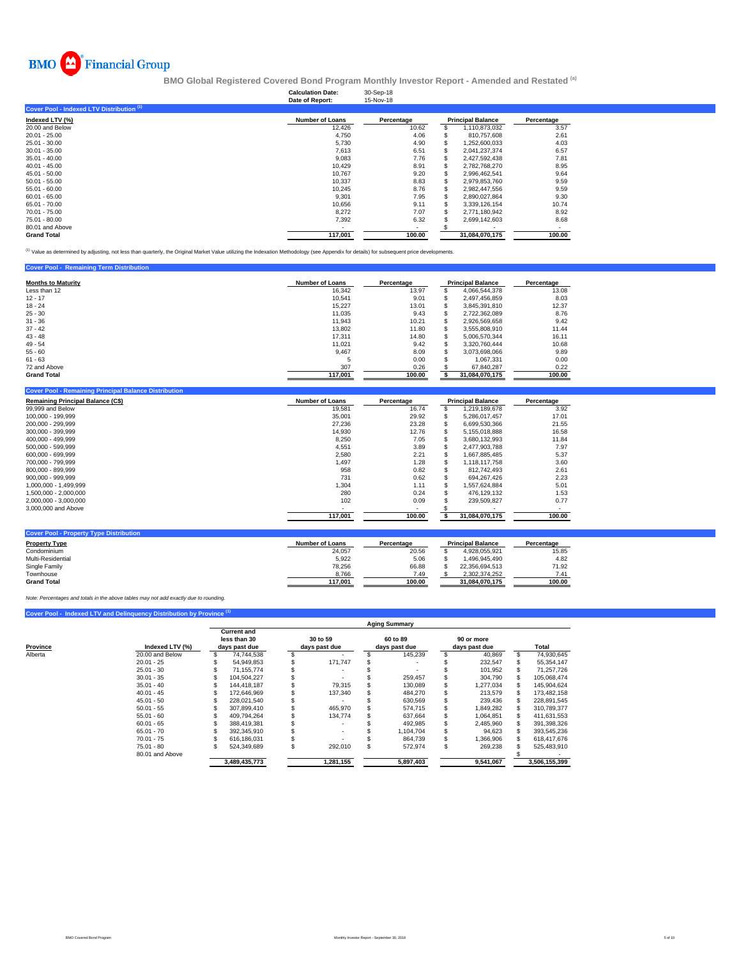

|                        | 30-Sep-18<br>15-Nov-18                      |                |                          |
|------------------------|---------------------------------------------|----------------|--------------------------|
|                        |                                             |                |                          |
| <b>Number of Loans</b> | Percentage                                  |                | Percentage               |
| 12,426                 | 10.62                                       | 1,110,873,032  | 3.57                     |
| 4,750                  | 4.06                                        | 810.757.608    | 2.61                     |
| 5,730                  | 4.90                                        | 1,252,600,033  | 4.03                     |
| 7.613                  | 6.51                                        | 2,041,237,374  | 6.57                     |
| 9,083                  | 7.76                                        | 2,427,592,438  | 7.81                     |
| 10,429                 | 8.91                                        | 2,782,768,270  | 8.95                     |
| 10,767                 | 9.20                                        | 2,996,462,541  | 9.64                     |
| 10.337                 | 8.83                                        | 2,979,853,760  | 9.59                     |
| 10.245                 | 8.76                                        | 2.982.447.556  | 9.59                     |
| 9,301                  | 7.95                                        | 2,890,027,864  | 9.30                     |
| 10,656                 | 9.11                                        | 3,339,126,154  | 10.74                    |
| 8,272                  | 7.07                                        | 2,771,180,942  | 8.92                     |
| 7,392                  | 6.32                                        | 2,699,142,603  | 8.68                     |
|                        |                                             |                |                          |
| 117.001                | 100.00                                      | 31.084.070.175 | 100.00                   |
|                        | <b>Calculation Date:</b><br>Date of Report: |                | <b>Principal Balance</b> |

(1) Value as determined by adjusting, not less than quarterly, the Original Market Value utilizing the Indexation Methodology (see Appendix for details) for subsequent price developments.

| <b>Cover Pool - Remaining Term Distribution</b> |                        |            |   |                          |            |
|-------------------------------------------------|------------------------|------------|---|--------------------------|------------|
| <b>Months to Maturity</b>                       | <b>Number of Loans</b> | Percentage |   | <b>Principal Balance</b> | Percentage |
| Less than 12                                    | 16.342                 | 13.97      |   | 4.066.544.378            | 13.08      |
| $12 - 17$                                       | 10.541                 | 9.01       |   | 2.497.456.859            | 8.03       |
| $18 - 24$                                       | 15.227                 | 13.01      | э | 3.845.391.810            | 12.37      |
| $25 - 30$                                       | 11.035                 | 9.43       |   | 2,722,362,089            | 8.76       |
| $31 - 36$                                       | 11.943                 | 10.21      | æ | 2.926.569.658            | 9.42       |
| $37 - 42$                                       | 13,802                 | 11.80      |   | 3,555,808,910            | 11.44      |
| $43 - 48$                                       | 17.311                 | 14.80      |   | 5.006.570.344            | 16.11      |
| $49 - 54$                                       | 11.021                 | 9.42       |   | 3.320.760.444            | 10.68      |
| $55 - 60$                                       | 9,467                  | 8.09       |   | 3.073.698.066            | 9.89       |
| $61 - 63$                                       |                        | 0.00       |   | 1.067.331                | 0.00       |
| 72 and Above                                    | 307                    | 0.26       |   | 67.840.287               | 0.22       |
| <b>Grand Total</b>                              | 117,001                | 100.00     |   | 31,084,070,175           | 100.00     |
|                                                 |                        |            |   |                          |            |

| <b>Cover Pool - Remaining Principal Balance Distribution</b> |                        |            |                          |            |
|--------------------------------------------------------------|------------------------|------------|--------------------------|------------|
| <b>Remaining Principal Balance (C\$)</b>                     | <b>Number of Loans</b> | Percentage | <b>Principal Balance</b> | Percentage |
| 99,999 and Below                                             | 19,581                 | 16.74      | 1,219,189,678            | 3.92       |
| 100.000 - 199.999                                            | 35,001                 | 29.92      | 5.286.017.457            | 17.01      |
| 200.000 - 299.999                                            | 27.236                 | 23.28      | 6.699.530.366            | 21.55      |
| 300.000 - 399.999                                            | 14,930                 | 12.76      | 5,155,018,888            | 16.58      |
| 400.000 - 499.999                                            | 8,250                  | 7.05       | 3,680,132,993            | 11.84      |
| 500.000 - 599.999                                            | 4,551                  | 3.89       | 2,477,903,788            | 7.97       |
| 600.000 - 699.999                                            | 2,580                  | 2.21       | 1.667.885.485            | 5.37       |
| 700.000 - 799.999                                            | 1,497                  | 1.28       | 1.118.117.758            | 3.60       |
| 800.000 - 899.999                                            | 958                    | 0.82       | 812.742.493              | 2.61       |
| 900.000 - 999.999                                            | 731                    | 0.62       | 694.267.426              | 2.23       |
| 1,000,000 - 1,499,999                                        | 1,304                  | 1.11       | 1,557,624,884            | 5.01       |
| 1.500.000 - 2.000.000                                        | 280                    | 0.24       | 476.129.132              | 1.53       |
| 2,000,000 - 3,000,000                                        | 102                    | 0.09       | 239.509.827              | 0.77       |
| 3,000,000 and Above                                          |                        |            |                          |            |
|                                                              | 117,001                | 100.00     | 31,084,070,175           | 100.00     |
|                                                              |                        |            |                          |            |
| <b>Cover Pool - Property Type Distribution</b>               |                        |            |                          |            |

| <b>Property Type</b> | <b>Number of Loans</b> | Percentage | <b>Principal Balance</b> | Percentage |
|----------------------|------------------------|------------|--------------------------|------------|
| Condominium          | 24,057                 | 20.56      | 4.928.055.921            | 15.85      |
| Multi-Residential    | 5,922                  | 5.06       | .496.945.490             | 4.82       |
| Single Family        | 78.256                 | 66.88      | 22.356.694.513           | 71.92      |
| Townhouse            | 8,766                  | 7.49       | 2.302.374.252            | 7.41       |
| <b>Grand Total</b>   | 117.001                | 100.00     | 31.084.070.175           | 100.00     |

*Note: Percentages and totals in the above tables may not add exactly due to rounding.*

|          | Cover Pool - Indexed LTV and Delinquency Distribution by Province (1) |                                                     |               |                           |   |                           |                             |    |               |
|----------|-----------------------------------------------------------------------|-----------------------------------------------------|---------------|---------------------------|---|---------------------------|-----------------------------|----|---------------|
|          |                                                                       |                                                     |               |                           |   | <b>Aging Summary</b>      |                             |    |               |
| Province | Indexed LTV (%)                                                       | <b>Current and</b><br>less than 30<br>days past due |               | 30 to 59<br>days past due |   | 60 to 89<br>days past due | 90 or more<br>days past due |    | Total         |
| Alberta  | 20.00 and Below                                                       |                                                     | 74,744,538    |                           |   | 145,239                   | 40,869                      | \$ | 74,930,645    |
|          | $20.01 - 25$                                                          |                                                     | 54.949.853    | 171,747                   |   |                           | 232.547                     |    | 55.354.147    |
|          | $25.01 - 30$                                                          |                                                     | 71.155.774    |                           |   |                           | 101.952                     | S  | 71.257.726    |
|          | $30.01 - 35$                                                          |                                                     | 104.504.227   |                           |   | 259,457                   | 304.790                     |    | 105,068,474   |
|          | $35.01 - 40$                                                          |                                                     | 144.418.187   | 79,315                    |   | 130,089                   | 1,277,034                   |    | 145,904,624   |
|          | $40.01 - 45$                                                          |                                                     | 172.646.969   | 137,340                   |   | 484,270                   | 213,579                     |    | 173,482,158   |
|          | $45.01 - 50$                                                          |                                                     | 228.021.540   |                           |   | 630,569                   | 239,436                     |    | 228,891,545   |
|          | $50.01 - 55$                                                          |                                                     | 307.899.410   | 465.970                   |   | 574,715                   | 1,849,282                   |    | 310,789,377   |
|          | $55.01 - 60$                                                          |                                                     | 409.794.264   | 134,774                   |   | 637,664                   | 1,064,851                   |    | 411,631,553   |
|          | $60.01 - 65$                                                          |                                                     | 388.419.381   |                           |   | 492,985                   | 2,485,960                   |    | 391,398,326   |
|          | $65.01 - 70$                                                          |                                                     | 392.345.910   |                           |   | 1.104.704                 | 94,623                      |    | 393,545,236   |
|          | $70.01 - 75$                                                          |                                                     | 616.186.031   |                           |   | 864,739                   | 1,366,906                   |    | 618,417,676   |
|          | $75.01 - 80$                                                          |                                                     | 524,349,689   | 292,010                   | ς | 572,974                   | \$<br>269,238               |    | 525,483,910   |
|          | 80.01 and Above                                                       |                                                     |               |                           |   |                           |                             |    |               |
|          |                                                                       |                                                     | 3,489,435,773 | 1,281,155                 |   | 5.897.403                 | 9,541,067                   |    | 3,506,155,399 |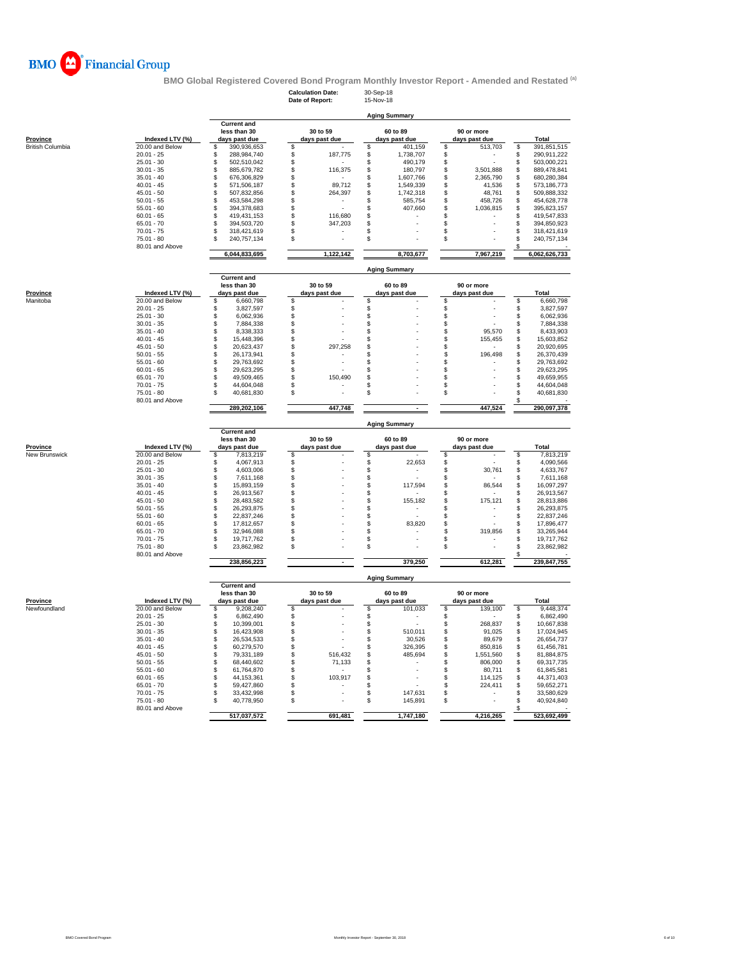

**BMO Global Registered Covered Bond Program Monthly Investor Report - Amended and Restated <sup>(a)</sup><br>Calculation Date: 30-Sep-18<br>Date of Report: 15-Nov-18** 

**Calculation Date:** 30-Sep-18 **Date of Report:** 15-Nov-18

| <b>Province</b><br><b>British Columbia</b> | Indexed LTV (%)<br>20.00 and Below<br>$20.01 - 25$<br>$25.01 - 30$<br>$30.01 - 35$<br>$35.01 - 40$<br>$40.01 - 45$<br>$45.01 - 50$ | <b>Current and</b><br>less than 30<br>days past due<br>390,936,653<br>\$<br>\$<br>288,984,740<br>\$<br>502.510.042<br>\$<br>885,679,782<br>\$<br>676,306,829 | 30 to 59<br>days past due<br>\$<br>\$<br>187,775<br>\$ | 60 to 89<br>days past due<br>401,159<br>S<br>1,738,707<br>\$<br>490,179<br>\$ | 90 or more<br>days past due<br>513,703<br>\$<br>\$ | Total<br>\$<br>391,851,515<br>\$<br>290,911,222 |
|--------------------------------------------|------------------------------------------------------------------------------------------------------------------------------------|--------------------------------------------------------------------------------------------------------------------------------------------------------------|--------------------------------------------------------|-------------------------------------------------------------------------------|----------------------------------------------------|-------------------------------------------------|
|                                            |                                                                                                                                    |                                                                                                                                                              |                                                        |                                                                               |                                                    |                                                 |
|                                            |                                                                                                                                    |                                                                                                                                                              |                                                        |                                                                               |                                                    |                                                 |
|                                            |                                                                                                                                    |                                                                                                                                                              |                                                        |                                                                               |                                                    |                                                 |
|                                            |                                                                                                                                    |                                                                                                                                                              |                                                        |                                                                               |                                                    |                                                 |
|                                            |                                                                                                                                    |                                                                                                                                                              |                                                        |                                                                               |                                                    |                                                 |
|                                            |                                                                                                                                    |                                                                                                                                                              |                                                        |                                                                               | \$                                                 | \$<br>503,000,221                               |
|                                            |                                                                                                                                    |                                                                                                                                                              | \$<br>116,375                                          | \$<br>180,797                                                                 | \$<br>3,501,888                                    | \$<br>889,478,841                               |
|                                            |                                                                                                                                    |                                                                                                                                                              | \$                                                     | \$<br>1,607,766                                                               | \$<br>2,365,790                                    | \$<br>680,280,384                               |
|                                            |                                                                                                                                    | \$<br>571,506,187                                                                                                                                            | \$<br>89,712                                           | \$<br>1,549,339                                                               | \$<br>41,536                                       | \$<br>573,186,773                               |
|                                            |                                                                                                                                    | \$<br>507,832,856                                                                                                                                            | \$<br>264,397                                          | \$<br>1,742,318                                                               | \$<br>48,761                                       | \$<br>509,888,332                               |
|                                            | $50.01 - 55$                                                                                                                       | \$<br>453,584,298                                                                                                                                            | \$                                                     | 585,754<br>s                                                                  | 458,726<br>\$                                      | \$<br>454,628,778                               |
|                                            | $55.01 - 60$                                                                                                                       | \$<br>394,378,683                                                                                                                                            | \$                                                     | \$<br>407,660                                                                 | \$<br>1,036,815                                    | \$<br>395,823,157                               |
|                                            | $60.01 - 65$                                                                                                                       | \$<br>419,431,153                                                                                                                                            | \$<br>116,680                                          | \$                                                                            | \$                                                 | \$<br>419,547,833                               |
|                                            | $65.01 - 70$                                                                                                                       | \$<br>394,503,720                                                                                                                                            | \$<br>347,203                                          | \$                                                                            | \$                                                 | \$<br>394,850,923                               |
|                                            | $70.01 - 75$                                                                                                                       | \$<br>318,421,619                                                                                                                                            | \$                                                     | \$                                                                            | \$                                                 | \$<br>318,421,619                               |
|                                            | $75.01 - 80$                                                                                                                       | \$<br>240,757,134                                                                                                                                            | \$                                                     | \$                                                                            | \$                                                 | \$<br>240,757,134                               |
|                                            | 80.01 and Above                                                                                                                    |                                                                                                                                                              |                                                        |                                                                               |                                                    |                                                 |
|                                            |                                                                                                                                    | 6,044,833,695                                                                                                                                                | 1,122,142                                              | 8,703,677                                                                     | 7,967,219                                          | 6,062,626,733                                   |
|                                            |                                                                                                                                    |                                                                                                                                                              |                                                        | <b>Aging Summary</b>                                                          |                                                    |                                                 |
|                                            |                                                                                                                                    | <b>Current and</b>                                                                                                                                           |                                                        |                                                                               |                                                    |                                                 |
|                                            |                                                                                                                                    | less than 30                                                                                                                                                 | 30 to 59                                               | 60 to 89                                                                      | 90 or more                                         |                                                 |
| Province                                   | Indexed LTV (%)                                                                                                                    | days past due                                                                                                                                                | days past due                                          | days past due                                                                 | days past due                                      | Total                                           |
| Manitoba                                   | 20.00 and Below                                                                                                                    | \$<br>6,660,798                                                                                                                                              | \$                                                     | \$                                                                            | \$                                                 | \$<br>6,660,798                                 |
|                                            | $20.01 - 25$                                                                                                                       | \$<br>3,827,597                                                                                                                                              | \$                                                     | \$                                                                            | \$                                                 | \$<br>3,827,597                                 |
|                                            | $25.01 - 30$                                                                                                                       | $$\mathbb{S}$$<br>6,062,936                                                                                                                                  | \$                                                     | \$                                                                            | \$                                                 | \$<br>6,062,936                                 |
|                                            |                                                                                                                                    |                                                                                                                                                              |                                                        |                                                                               |                                                    |                                                 |
|                                            | $30.01 - 35$                                                                                                                       | \$<br>7,884,338                                                                                                                                              | \$                                                     | \$                                                                            | \$                                                 | \$<br>7,884,338                                 |
|                                            | $35.01 - 40$                                                                                                                       | \$<br>8,338,333                                                                                                                                              | \$                                                     | \$                                                                            | \$<br>95,570                                       | \$<br>8,433,903                                 |
|                                            | $40.01 - 45$                                                                                                                       | \$<br>15,448,396                                                                                                                                             | \$                                                     | \$                                                                            | \$<br>155,455                                      | \$<br>15,603,852                                |
|                                            | $45.01 - 50$                                                                                                                       | \$<br>20,623,437                                                                                                                                             | \$<br>297,258                                          | \$                                                                            | \$                                                 | \$<br>20,920,695                                |
|                                            | $50.01 - 55$                                                                                                                       | $$\mathbb{S}$$<br>26,173,941                                                                                                                                 | \$                                                     | \$                                                                            | \$<br>196,498                                      | \$<br>26,370,439                                |
|                                            | $55.01 - 60$                                                                                                                       | \$<br>29,763,692                                                                                                                                             | \$<br>÷,                                               | \$                                                                            | \$                                                 | \$<br>29,763,692                                |
|                                            | $60.01 - 65$                                                                                                                       | \$<br>29,623,295                                                                                                                                             | \$                                                     | S                                                                             | \$                                                 | \$<br>29,623,295                                |
|                                            | $65.01 - 70$                                                                                                                       | \$<br>49,509,465                                                                                                                                             | \$<br>150,490                                          | \$                                                                            | \$                                                 | \$<br>49,659,955                                |
|                                            | $70.01 - 75$                                                                                                                       | \$<br>44,604,048                                                                                                                                             | \$                                                     | \$                                                                            | \$                                                 | \$<br>44,604,048                                |
|                                            | $75.01 - 80$                                                                                                                       | $$\mathbb{S}$$<br>40,681,830                                                                                                                                 | \$                                                     | \$                                                                            | \$                                                 | \$<br>40,681,830                                |
|                                            | 80.01 and Above                                                                                                                    |                                                                                                                                                              |                                                        |                                                                               |                                                    | \$                                              |
|                                            |                                                                                                                                    | 289,202,106                                                                                                                                                  | 447,748                                                |                                                                               | 447,524                                            | 290,097,378                                     |
|                                            |                                                                                                                                    |                                                                                                                                                              |                                                        | <b>Aging Summary</b>                                                          |                                                    |                                                 |
|                                            |                                                                                                                                    | <b>Current and</b><br>less than 30                                                                                                                           | 30 to 59                                               | 60 to 89                                                                      | 90 or more                                         |                                                 |
| Province                                   | Indexed LTV (%)                                                                                                                    | days past due                                                                                                                                                | days past due                                          | days past due                                                                 | days past due                                      | <b>Total</b>                                    |
| New Brunswick                              | 20.00 and Below                                                                                                                    | \$<br>7,813,219                                                                                                                                              | \$                                                     | \$                                                                            | \$                                                 | \$<br>7,813,219                                 |
|                                            | $20.01 - 25$                                                                                                                       | 4,067,913<br>\$                                                                                                                                              | \$                                                     | \$<br>22,653                                                                  | \$                                                 | \$<br>4,090,566                                 |
|                                            |                                                                                                                                    |                                                                                                                                                              |                                                        |                                                                               |                                                    |                                                 |
|                                            | $25.01 - 30$                                                                                                                       | \$<br>4,603,006                                                                                                                                              | \$                                                     | \$                                                                            | \$<br>30,761                                       | 4,633,767<br>\$                                 |
|                                            | $30.01 - 35$                                                                                                                       | $$\mathbb{S}$$<br>7,611,168                                                                                                                                  | \$                                                     | \$                                                                            | \$                                                 | \$<br>7,611,168                                 |
|                                            | $35.01 - 40$                                                                                                                       | \$<br>15,893,159                                                                                                                                             | \$                                                     | \$<br>117,594                                                                 | \$<br>86,544                                       | \$<br>16,097,297                                |
|                                            | $40.01 - 45$                                                                                                                       | \$<br>26,913,567                                                                                                                                             | \$                                                     | \$                                                                            | \$                                                 | \$<br>26,913,567                                |
|                                            | $45.01 - 50$                                                                                                                       | $$\mathbb{S}$$<br>28,483,582                                                                                                                                 | \$                                                     | \$<br>155,182                                                                 | 175,121<br>S                                       | \$<br>28,813,886                                |
|                                            | $50.01 - 55$                                                                                                                       | \$<br>26,293,875                                                                                                                                             | \$                                                     | \$                                                                            | \$                                                 | \$<br>26,293,875                                |
|                                            | $55.01 - 60$                                                                                                                       | \$<br>22,837,246                                                                                                                                             | \$                                                     | \$                                                                            | \$                                                 | \$<br>22,837,246                                |
|                                            | $60.01 - 65$                                                                                                                       | \$<br>17,812,657                                                                                                                                             | \$                                                     | \$<br>83,820                                                                  | \$                                                 | \$<br>17,896,477                                |
|                                            | $65.01 - 70$                                                                                                                       | \$<br>32,946,088                                                                                                                                             | \$                                                     | \$                                                                            | 319,856<br>S                                       | \$<br>33,265,944                                |
|                                            | $70.01 - 75$                                                                                                                       | $$\mathbb{S}$$<br>19.717.762                                                                                                                                 | \$                                                     | \$                                                                            | \$                                                 | \$<br>19,717,762                                |
|                                            |                                                                                                                                    | \$                                                                                                                                                           |                                                        |                                                                               |                                                    |                                                 |
|                                            | $75.01 - 80$<br>80.01 and Above                                                                                                    | 23,862,982                                                                                                                                                   | \$                                                     | \$                                                                            | \$                                                 | \$<br>23,862,982<br>\$                          |
|                                            |                                                                                                                                    | 238,856,223                                                                                                                                                  | $\overline{\phantom{a}}$                               | 379,250                                                                       | 612,281                                            | 239,847,755                                     |
|                                            |                                                                                                                                    | <b>Current and</b>                                                                                                                                           |                                                        | <b>Aging Summary</b>                                                          |                                                    |                                                 |
|                                            |                                                                                                                                    | less than 30                                                                                                                                                 | 30 to 59                                               | 60 to 89                                                                      | 90 or more                                         |                                                 |
| <b>Province</b>                            | Indexed LTV (%)                                                                                                                    | days past due                                                                                                                                                | days past due                                          | days past due                                                                 | days past due                                      | <b>Total</b>                                    |
| Newfoundland                               | 20.00 and Below                                                                                                                    | \$<br>9,208,240                                                                                                                                              | $\mathbf{\hat{s}}$                                     | S<br>101,033                                                                  | \$<br>139,100                                      | \$<br>9,448,374                                 |
|                                            | $20.01 - 25$                                                                                                                       | \$<br>6,862,490                                                                                                                                              | \$                                                     | \$                                                                            | \$                                                 | \$<br>6,862,490                                 |
|                                            | $25.01 - 30$                                                                                                                       | \$<br>10,399,001                                                                                                                                             | \$                                                     | \$                                                                            | 268,837<br>\$                                      | \$<br>10,667,838                                |
|                                            | $30.01 - 35$                                                                                                                       | \$<br>16,423,908                                                                                                                                             | \$                                                     | 510,011<br>\$                                                                 | 91,025<br>\$                                       | \$<br>17,024,945                                |
|                                            | $35.01 - 40$                                                                                                                       | \$<br>26,534,533                                                                                                                                             | \$                                                     | \$<br>30,526                                                                  | \$<br>89,679                                       | \$<br>26,654,737                                |
|                                            |                                                                                                                                    |                                                                                                                                                              |                                                        |                                                                               |                                                    |                                                 |
|                                            | $40.01 - 45$                                                                                                                       | \$<br>60,279,570                                                                                                                                             | \$                                                     | 326,395<br>s                                                                  | \$<br>850,816                                      | \$<br>61,456,781                                |
|                                            | $45.01 - 50$                                                                                                                       | \$<br>79,331,189                                                                                                                                             | \$<br>516,432                                          | \$<br>485,694                                                                 | \$<br>1,551,560                                    | \$<br>81,884,875                                |
|                                            | $50.01 - 55$                                                                                                                       | \$<br>68,440,602                                                                                                                                             | \$<br>71,133                                           | \$                                                                            | S<br>806,000                                       | 69,317,735                                      |
|                                            | $55.01 - 60$                                                                                                                       | \$<br>61,764,870                                                                                                                                             | \$                                                     | \$                                                                            | 80,711<br>\$                                       | \$<br>61,845,581                                |
|                                            | $60.01 - 65$                                                                                                                       | \$<br>44,153,361                                                                                                                                             | \$<br>103,917                                          | \$                                                                            | \$<br>114,125                                      | \$<br>44,371,403                                |
|                                            | $65.01 - 70$                                                                                                                       | \$<br>59,427,860                                                                                                                                             | \$                                                     | \$                                                                            | \$<br>224,411                                      | \$<br>59,652,271                                |
|                                            | $70.01 - 75$                                                                                                                       | \$<br>33,432,998                                                                                                                                             | \$                                                     | \$<br>147,631                                                                 | \$                                                 | \$<br>33,580,629                                |
|                                            | $75.01 - 80$                                                                                                                       | \$<br>40,778,950                                                                                                                                             | \$                                                     | \$<br>145,891                                                                 | \$                                                 | \$<br>40,924,840                                |
|                                            | 80.01 and Above                                                                                                                    |                                                                                                                                                              |                                                        |                                                                               |                                                    | \$                                              |
|                                            |                                                                                                                                    | 517,037,572                                                                                                                                                  | 691,481                                                | 1,747,180                                                                     | 4,216,265                                          | 523,692,499                                     |

|                 |                 |               |                                                     |           |                           | 60 to 89  |                                       |           |                             | Total         |  |
|-----------------|-----------------|---------------|-----------------------------------------------------|-----------|---------------------------|-----------|---------------------------------------|-----------|-----------------------------|---------------|--|
| 20.00 and Below |                 | 390,936,653   |                                                     |           |                           | 401,159   |                                       | 513,703   |                             | 391,851,515   |  |
| $20.01 - 25$    |                 | 288.984.740   |                                                     | 187,775   |                           | 1,738,707 |                                       |           |                             | 290,911,222   |  |
| $25.01 - 30$    |                 | 502.510.042   |                                                     |           |                           | 490.179   |                                       |           |                             | 503,000,221   |  |
| $30.01 - 35$    |                 | 885.679.782   |                                                     | 116,375   |                           | 180.797   |                                       | 3.501.888 |                             | 889.478.841   |  |
| $35.01 - 40$    |                 | 676.306.829   |                                                     |           |                           | 1,607,766 |                                       | 2.365.790 |                             | 680,280,384   |  |
| $40.01 - 45$    |                 | 571.506.187   |                                                     | 89.712    |                           | 1,549,339 |                                       | 41.536    |                             | 573,186,773   |  |
| $45.01 - 50$    |                 | 507.832.856   |                                                     | 264,397   |                           | 1,742,318 |                                       | 48.761    |                             | 509.888.332   |  |
| $50.01 - 55$    |                 | 453.584.298   |                                                     |           |                           | 585,754   |                                       | 458.726   |                             | 454.628.778   |  |
| $55.01 - 60$    |                 | 394.378.683   |                                                     |           |                           | 407.660   |                                       | 1,036,815 |                             | 395,823,157   |  |
| $60.01 - 65$    |                 | 419.431.153   |                                                     | 116,680   |                           |           |                                       |           |                             | 419,547,833   |  |
| $65.01 - 70$    |                 | 394.503.720   |                                                     | 347.203   |                           |           |                                       |           |                             | 394,850,923   |  |
| $70.01 - 75$    |                 | 318.421.619   |                                                     |           |                           |           |                                       |           |                             | 318,421,619   |  |
| $75.01 - 80$    |                 | 240.757.134   |                                                     |           |                           |           |                                       |           |                             | 240,757,134   |  |
| 80.01 and Above |                 |               |                                                     |           |                           |           |                                       |           |                             |               |  |
|                 |                 | 6,044,833,695 |                                                     | 1,122,142 |                           | 8,703,677 |                                       | 7,967,219 |                             | 6,062,626,733 |  |
|                 | Indexed LTV (%) |               | <b>Current and</b><br>less than 30<br>days past due |           | 30 to 59<br>days past due |           | <b>Aging Summary</b><br>days past due |           | 90 or more<br>days past due |               |  |

### **Aging Summary**

|                 |                                    |            |                                                           |                    |                                      |                           |         |                                        | Total       |  |
|-----------------|------------------------------------|------------|-----------------------------------------------------------|--------------------|--------------------------------------|---------------------------|---------|----------------------------------------|-------------|--|
|                 |                                    |            |                                                           |                    |                                      |                           |         |                                        |             |  |
|                 |                                    |            |                                                           |                    |                                      |                           |         |                                        | 6,660,798   |  |
| $20.01 - 25$    |                                    | 3.827.597  |                                                           |                    |                                      |                           |         |                                        | 3,827,597   |  |
| $25.01 - 30$    |                                    | 6.062.936  |                                                           |                    |                                      |                           |         |                                        | 6,062,936   |  |
| $30.01 - 35$    |                                    | 7.884.338  |                                                           |                    |                                      |                           |         |                                        | 7,884,338   |  |
| $35.01 - 40$    |                                    | 8,338,333  |                                                           |                    |                                      |                           | 95,570  |                                        | 8,433,903   |  |
| $40.01 - 45$    |                                    | 15.448.396 |                                                           |                    |                                      |                           | 155.455 |                                        | 15,603,852  |  |
| $45.01 - 50$    |                                    | 20.623.437 |                                                           | 297,258            |                                      |                           |         |                                        | 20,920,695  |  |
| $50.01 - 55$    |                                    | 26.173.941 |                                                           |                    |                                      |                           | 196.498 |                                        | 26,370,439  |  |
| $55.01 - 60$    |                                    | 29.763.692 |                                                           |                    |                                      |                           |         |                                        | 29,763,692  |  |
| $60.01 - 65$    |                                    | 29.623.295 |                                                           |                    |                                      |                           |         |                                        | 29,623,295  |  |
| $65.01 - 70$    |                                    | 49.509.465 |                                                           | 150.490            |                                      |                           |         |                                        | 49,659,955  |  |
| $70.01 - 75$    |                                    | 44.604.048 |                                                           |                    |                                      |                           |         |                                        | 44,604,048  |  |
| $75.01 - 80$    |                                    | 40.681.830 |                                                           |                    |                                      |                           |         |                                        | 40.681.830  |  |
| 80.01 and Above |                                    |            |                                                           |                    |                                      |                           |         |                                        |             |  |
|                 |                                    |            |                                                           |                    |                                      |                           |         |                                        | 290,097,378 |  |
|                 | Indexed LTV (%)<br>20.00 and Below |            | less than 30<br>days past due<br>6.660.798<br>289,202,106 | <b>Current and</b> | 30 to 59<br>days past due<br>447,748 | 60 to 89<br>days past due |         | 90 or more<br>days past due<br>447,524 |             |  |

# **Aging Summary**

|                 |                 |             |                                              |                           |         |                           |         |                             | Total       |
|-----------------|-----------------|-------------|----------------------------------------------|---------------------------|---------|---------------------------|---------|-----------------------------|-------------|
| 20.00 and Below |                 | 7,813,219   |                                              |                           |         |                           |         |                             | 7,813,219   |
| $20.01 - 25$    |                 | 4,067,913   |                                              |                           | 22,653  |                           |         |                             | 4,090,566   |
| $25.01 - 30$    |                 | 4.603.006   |                                              |                           |         |                           | 30,761  |                             | 4,633,767   |
| $30.01 - 35$    |                 | 7.611.168   |                                              |                           |         |                           |         |                             | 7,611,168   |
| $35.01 - 40$    |                 | 15.893.159  |                                              |                           | 117.594 |                           | 86.544  |                             | 16,097,297  |
| $40.01 - 45$    |                 | 26.913.567  |                                              |                           |         |                           |         |                             | 26,913,567  |
| $45.01 - 50$    |                 | 28.483.582  |                                              |                           | 155.182 |                           | 175.121 |                             | 28.813.886  |
| $50.01 - 55$    |                 | 26.293.875  |                                              |                           |         |                           |         |                             | 26,293,875  |
| $55.01 - 60$    |                 | 22.837.246  |                                              |                           |         |                           |         |                             | 22.837.246  |
| $60.01 - 65$    |                 | 17.812.657  |                                              |                           | 83,820  |                           |         |                             | 17,896,477  |
| $65.01 - 70$    |                 | 32.946.088  |                                              |                           |         |                           | 319.856 |                             | 33.265.944  |
| $70.01 - 75$    |                 | 19.717.762  |                                              |                           |         |                           |         |                             | 19,717,762  |
| $75.01 - 80$    |                 | 23.862.982  |                                              |                           |         |                           |         |                             | 23,862,982  |
| 80.01 and Above |                 |             |                                              |                           |         |                           |         |                             |             |
|                 |                 | 238.856.223 |                                              |                           | 379,250 |                           | 612,281 |                             | 239.847.755 |
|                 | Indexed LTV (%) |             | Gurrent and<br>less than 30<br>days past due | 30 to 59<br>days past due |         | 60 to 89<br>days past due |         | 90 or more<br>days past due |             |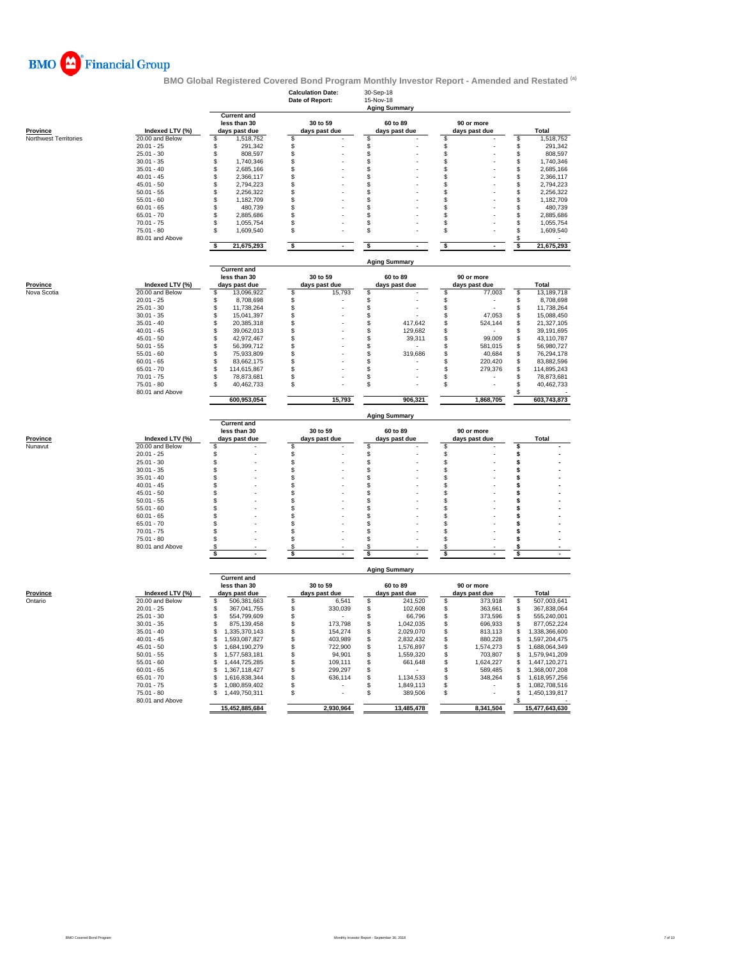

|                            |                                    |                                                     | <b>Calculation Date:</b><br>Date of Report: | 30-Sep-18<br>15-Nov-18<br><b>Aging Summary</b> |                                |                                    |
|----------------------------|------------------------------------|-----------------------------------------------------|---------------------------------------------|------------------------------------------------|--------------------------------|------------------------------------|
| <b>Province</b>            | Indexed LTV (%)                    | <b>Current and</b><br>less than 30<br>days past due | 30 to 59<br>days past due                   | 60 to 89<br>days past due                      | 90 or more<br>days past due    | <b>Total</b>                       |
| Northwest Territories      | 20.00 and Below                    | 1,518,752<br>\$                                     | \$                                          | \$                                             | \$                             | 1,518,752<br>\$                    |
|                            | $20.01 - 25$                       | \$<br>291,342                                       | \$                                          | \$                                             | \$                             | \$<br>291,342                      |
|                            | $25.01 - 30$                       | \$<br>808,597                                       | \$                                          | \$                                             | \$                             | \$<br>808,597                      |
|                            | $30.01 - 35$                       | \$<br>1,740,346                                     | \$                                          | \$                                             | \$                             | \$<br>1,740,346                    |
|                            | $35.01 - 40$                       | \$<br>2,685,166                                     | \$                                          | \$                                             | \$                             | \$<br>2,685,166                    |
|                            | $40.01 - 45$                       | \$<br>2,366,117                                     | \$                                          | \$                                             | \$                             | \$<br>2,366,117                    |
|                            | $45.01 - 50$                       | \$<br>2,794,223                                     | S                                           | \$                                             | \$                             | \$<br>2,794,223                    |
|                            | $50.01 - 55$                       | \$<br>2,256,322                                     | \$                                          | \$                                             | \$                             | \$<br>2,256,322                    |
|                            | $55.01 - 60$                       | \$<br>1,182,709                                     | \$<br>\$                                    | \$                                             | \$<br>\$                       | \$<br>1,182,709                    |
|                            | $60.01 - 65$                       | \$<br>480,739                                       |                                             | \$                                             |                                | \$<br>480.739                      |
|                            | $65.01 - 70$                       | \$<br>2,885,686                                     | \$                                          | \$                                             | \$                             | \$<br>2,885,686                    |
|                            | $70.01 - 75$<br>$75.01 - 80$       | \$<br>1,055,754<br>\$<br>1,609,540                  | \$<br>\$                                    | \$<br>\$                                       | \$<br>\$                       | \$<br>1,055,754<br>\$<br>1,609,540 |
|                            | 80.01 and Above                    |                                                     |                                             |                                                |                                | \$                                 |
|                            |                                    | 21,675,293<br>\$                                    | \$<br>$\blacksquare$                        | \$<br>$\blacksquare$                           | \$<br>$\overline{\phantom{a}}$ | 21,675,293<br>\$                   |
|                            |                                    | <b>Current and</b>                                  |                                             | <b>Aging Summary</b>                           |                                |                                    |
|                            |                                    | less than 30                                        | 30 to 59                                    | 60 to 89                                       | 90 or more                     |                                    |
| <b>Province</b>            | Indexed LTV (%)<br>20.00 and Below | days past due<br>\$<br>13,096,922                   | days past due<br>\$<br>15,793               | days past due<br>\$                            | days past due<br>\$<br>77,003  | Total<br>\$<br>13,189,718          |
| Nova Scotia                |                                    |                                                     |                                             |                                                |                                |                                    |
|                            | $20.01 - 25$<br>$25.01 - 30$       | \$<br>8,708,698<br>11,738,264                       | \$<br>\$                                    | \$                                             | \$<br>\$                       | \$<br>8,708,698<br>11,738,264      |
|                            | $30.01 - 35$                       | \$<br>\$<br>15,041,397                              | \$                                          | \$<br>\$                                       | \$<br>47,053                   | \$<br>\$<br>15,088,450             |
|                            | $35.01 - 40$                       | \$<br>20,385,318                                    | \$                                          | \$<br>417,642                                  | \$<br>524,144                  | \$<br>21,327,105                   |
|                            | $40.01 - 45$                       | \$<br>39,062,013                                    | \$                                          | \$<br>129,682                                  | \$                             | \$<br>39,191,695                   |
|                            | $45.01 - 50$                       | \$<br>42,972,467                                    | \$                                          | \$<br>39,311                                   | \$<br>99,009                   | \$<br>43,110,787                   |
|                            | $50.01 - 55$                       | \$<br>56,399,712                                    | \$                                          | \$                                             | \$<br>581,015                  | \$<br>56,980,727                   |
|                            | $55.01 - 60$                       | \$<br>75,933,809                                    | \$                                          | \$<br>319,686                                  | \$<br>40,684                   | \$<br>76,294,178                   |
|                            | $60.01 - 65$                       | \$<br>83,662,175                                    | \$                                          | \$                                             | \$<br>220,420                  | \$<br>83,882,596                   |
|                            | $65.01 - 70$                       | \$<br>114,615,867                                   | \$.                                         | \$                                             | \$<br>279,376                  | \$<br>114,895,243                  |
|                            | $70.01 - 75$                       | \$<br>78,873,681                                    | \$                                          | \$                                             | \$                             | \$<br>78,873,681                   |
|                            | $75.01 - 80$                       | \$<br>40,462,733                                    | S                                           | \$                                             | \$                             | \$<br>40,462,733                   |
|                            | 80.01 and Above                    | 600,953,054                                         | 15,793                                      | 906,321                                        | 1,868,705                      | \$<br>603,743,873                  |
|                            |                                    |                                                     |                                             |                                                |                                |                                    |
|                            |                                    | <b>Current and</b>                                  |                                             | <b>Aging Summary</b>                           |                                |                                    |
|                            |                                    | less than 30                                        | 30 to 59                                    | 60 to 89                                       | 90 or more                     |                                    |
| <b>Province</b>            | Indexed LTV (%)                    | days past due                                       | days past due                               | days past due                                  | days past due                  | Total                              |
| Nunavut                    | 20.00 and Below<br>$20.01 - 25$    | \$                                                  | S                                           | \$                                             | \$                             | \$                                 |
|                            | $25.01 - 30$                       | \$<br>\$                                            | \$<br>\$                                    | \$<br>\$                                       | \$<br>\$                       | \$<br>\$                           |
|                            | $30.01 - 35$                       | \$                                                  | \$                                          | \$                                             | \$                             | \$                                 |
|                            | $35.01 - 40$                       | \$                                                  | \$                                          | \$                                             | \$                             | \$                                 |
|                            | $40.01 - 45$                       | \$                                                  | \$                                          | \$                                             | \$                             | \$                                 |
|                            | $45.01 - 50$                       | \$                                                  | \$                                          | \$                                             | \$                             | \$                                 |
|                            | $50.01 - 55$                       | \$                                                  | \$                                          | \$                                             | \$                             | \$                                 |
|                            | $55.01 - 60$                       | \$                                                  | \$                                          | \$                                             | \$                             | \$                                 |
|                            | $60.01 - 65$                       | \$                                                  | \$                                          | \$                                             | \$                             | \$                                 |
|                            | $65.01 - 70$                       | \$                                                  | S                                           | \$                                             | \$                             | \$                                 |
|                            | $70.01 - 75$                       | \$                                                  | S                                           | \$                                             | \$                             | \$                                 |
|                            | $75.01 - 80$                       | \$                                                  | $\mathfrak{L}$                              | \$                                             | \$                             | \$                                 |
|                            | 80.01 and Above                    | \$<br>\$                                            | S<br>\$                                     | \$<br>\$                                       | S<br>s                         | \$<br>s                            |
|                            |                                    |                                                     |                                             | <b>Aging Summary</b>                           |                                |                                    |
|                            |                                    | <b>Current and</b>                                  |                                             |                                                |                                |                                    |
|                            | Indexed LTV (%)                    | less than 30<br>days past due                       | 30 to 59                                    | 60 to 89                                       | 90 or more                     | Total                              |
| <u>Province</u><br>Ontario | 20.00 and Below                    | \$<br>506,381,663                                   | days past due<br>6,541<br>\$                | days past due<br>S<br>241,520                  | days past due<br>\$<br>373,918 | \$<br>507,003,641                  |
|                            | $20.01 - 25$                       | \$<br>367,041,755                                   | 330,039<br>\$                               | \$<br>102,608                                  | \$<br>363,661                  | \$<br>367,838,064                  |
|                            | $25.01 - 30$                       | \$<br>554,799,609                                   | \$                                          | \$<br>66,796                                   | \$<br>373,596                  | \$<br>555,240,001                  |
|                            | $30.01 - 35$                       | \$<br>875,139,458                                   | 173,798<br>\$                               | 1,042,035<br>\$                                | \$<br>696,933                  | \$<br>877,052,224                  |
|                            | $35.01 - 40$                       | \$<br>1,335,370,143                                 | \$<br>154,274                               | \$<br>2,029,070                                | \$<br>813,113                  | \$<br>1,338,366,600                |
|                            | $40.01 - 45$                       | \$<br>1,593,087,827                                 | \$<br>403,989                               | \$<br>2,832,432                                | \$<br>880,228                  | \$<br>1,597,204,475                |
|                            | $45.01 - 50$                       | \$<br>1,684,190,279                                 | \$<br>722,900                               | \$<br>1,576,897                                | \$<br>1,574,273                | \$<br>1,688,064,349                |
|                            | $50.01 - 55$                       | \$<br>1,577,583,181                                 | \$<br>94,901                                | \$<br>1,559,320                                | \$<br>703,807                  | \$<br>1,579,941,209                |
|                            | $55.01 - 60$                       | \$<br>1,444,725,285                                 | \$<br>109,111                               | \$<br>661,648                                  | \$<br>1,624,227                | \$<br>1,447,120,271                |
|                            | $60.01 - 65$                       | \$<br>1,367,118,427                                 | 299,297<br>S                                | \$                                             | \$<br>589,485                  | \$<br>1,368,007,208                |
|                            | $65.01 - 70$                       | \$<br>1,616,838,344                                 | 636,114<br>S                                | \$<br>1,134,533                                | \$<br>348,264                  | \$<br>1,618,957,256                |
|                            | $70.01 - 75$                       | \$<br>1,080,859,402                                 | \$                                          | \$<br>1,849,113                                | \$                             | \$<br>1,082,708,516                |
|                            | $75.01 - 80$                       | \$<br>1,449,750,311                                 | \$                                          | \$<br>389,506                                  | \$                             | \$<br>1,450,139,817                |
|                            | 80.01 and Above                    | 15,452,885,684                                      | 2,930,964                                   | 13,485,478                                     | 8,341,504                      | \$<br>15,477,643,630               |
|                            |                                    |                                                     |                                             |                                                |                                |                                    |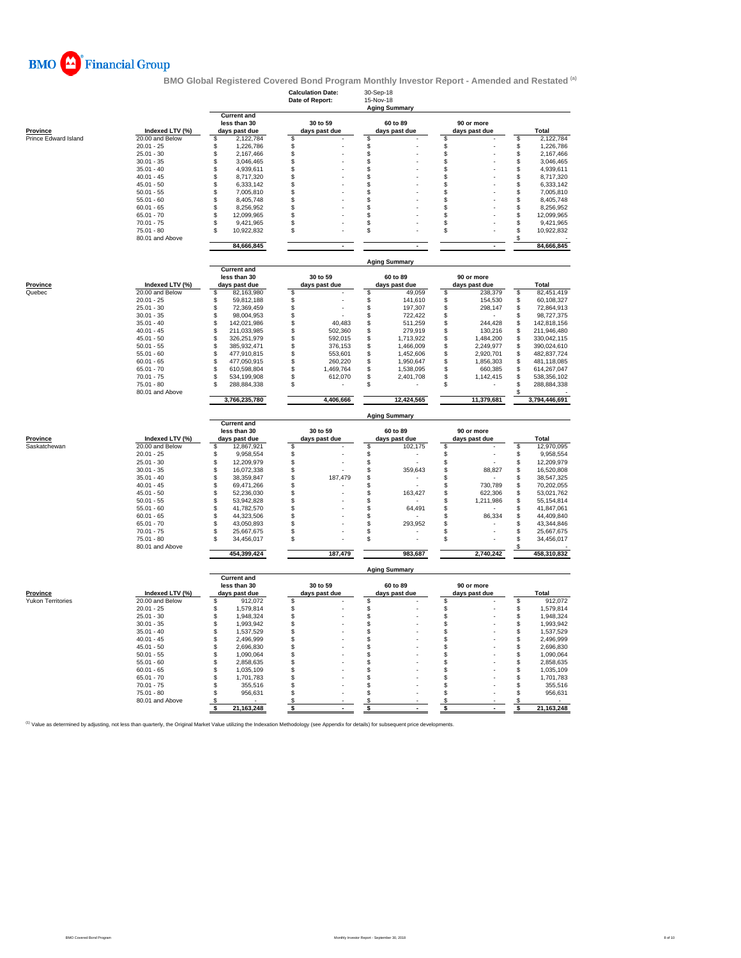

|                          |                                 |                                                     | <b>Calculation Date:</b><br>Date of Report: | 30-Sep-18<br>15-Nov-18<br><b>Aging Summary</b> |                              |                                        |
|--------------------------|---------------------------------|-----------------------------------------------------|---------------------------------------------|------------------------------------------------|------------------------------|----------------------------------------|
| <b>Province</b>          | Indexed LTV (%)                 | <b>Current and</b><br>less than 30<br>days past due | 30 to 59<br>days past due                   | 60 to 89<br>days past due                      | 90 or more<br>days past due  | Total                                  |
| Prince Edward Island     | 20.00 and Below                 | \$<br>2,122,784                                     | $\mathfrak{S}$                              | \$                                             | \$                           | 2,122,784<br>\$.                       |
|                          | $20.01 - 25$                    | 1,226,786<br>\$                                     | \$                                          | \$                                             | \$                           | \$<br>1,226,786                        |
|                          | $25.01 - 30$<br>$30.01 - 35$    | \$<br>2,167,466<br>\$                               | \$<br>\$                                    | \$<br>\$                                       | \$<br>\$                     | \$<br>2,167,466<br>$$\mathbb{S}$$      |
|                          | $35.01 - 40$                    | 3,046,465<br>\$<br>4,939,611                        |                                             | \$                                             | \$                           | 3,046,465<br>\$<br>4,939,611           |
|                          | $40.01 - 45$                    | \$<br>8,717,320                                     | \$<br>\$                                    |                                                | \$                           | 8,717,320                              |
|                          | $45.01 - 50$                    | \$<br>6,333,142                                     | \$                                          | \$<br>\$                                       | \$                           | \$<br>\$<br>6,333,142                  |
|                          | $50.01 - 55$                    | \$<br>7,005,810                                     | \$                                          | \$                                             | \$                           | \$<br>7,005,810                        |
|                          | $55.01 - 60$                    | \$<br>8,405,748                                     | \$                                          | \$                                             | \$                           | \$<br>8,405,748                        |
|                          | $60.01 - 65$                    | \$<br>8,256,952                                     | \$                                          | \$                                             | \$                           | \$<br>8,256,952                        |
|                          | $65.01 - 70$                    | \$<br>12,099,965                                    | \$                                          | \$                                             | \$                           | \$<br>12,099,965                       |
|                          | $70.01 - 75$                    | \$<br>9,421,965                                     | \$                                          | \$                                             | \$                           | \$<br>9,421,965                        |
|                          | $75.01 - 80$                    | \$.<br>10,922,832                                   | \$                                          | \$                                             | \$                           | \$<br>10,922,832                       |
|                          | 80.01 and Above                 | 84,666,845                                          | $\blacksquare$                              | $\blacksquare$                                 | $\blacksquare$               | \$<br>84,666,845                       |
|                          |                                 |                                                     |                                             | <b>Aging Summary</b>                           |                              |                                        |
|                          |                                 | <b>Current and</b><br>less than 30                  | 30 to 59                                    | 60 to 89                                       | 90 or more                   |                                        |
| <b>Province</b>          | Indexed LTV (%)                 | days past due                                       | days past due                               | days past due                                  | days past due                | Total                                  |
| Quebec                   | 20.00 and Below                 | 82,163,980<br>\$                                    | \$                                          | \$<br>49,059                                   | \$<br>238,379                | \$<br>82,451,419                       |
|                          | $20.01 - 25$                    | \$<br>59,812,188                                    | \$                                          | \$<br>141,610                                  | \$<br>154,530                | \$<br>60,108,327                       |
|                          | $25.01 - 30$                    | \$<br>72,369,459                                    | \$                                          | \$<br>197,307                                  | \$<br>298,147                | $\mathbb S$<br>72,864,913              |
|                          | $30.01 - 35$                    | \$<br>98,004,953                                    | \$                                          | S<br>722,422                                   | \$                           | \$<br>98,727,375                       |
|                          | $35.01 - 40$                    | \$<br>142,021,986                                   | \$<br>40,483                                | \$<br>511,259                                  | \$<br>244,428                | \$<br>142,818,156                      |
|                          | $40.01 - 45$                    | \$<br>211,033,985                                   | \$<br>502,360                               | \$<br>279,919                                  | 130,216<br>\$                | \$<br>211,946,480                      |
|                          | $45.01 - 50$                    | \$<br>326,251,979                                   | \$<br>592,015                               | \$<br>1,713,922                                | \$<br>1,484,200              | \$<br>330,042,115                      |
|                          | $50.01 - 55$<br>$55.01 - 60$    | \$<br>385,932,471<br>\$<br>477,910,815              | \$<br>376,153<br>\$<br>553.601              | \$<br>1,466,009<br>\$<br>1,452,606             | \$<br>2,249,977<br>\$        | \$<br>390,024,610<br>\$<br>482,837,724 |
|                          | $60.01 - 65$                    | \$<br>477,050,915                                   | \$<br>260,220                               | \$<br>1,950,647                                | 2,920,701<br>\$<br>1,856,303 | \$<br>481,118,085                      |
|                          | $65.01 - 70$                    | \$<br>610,598,804                                   | \$<br>1,469,764                             | \$<br>1,538,095                                | \$<br>660,385                | \$<br>614,267,047                      |
|                          | $70.01 - 75$                    | \$<br>534,199,908                                   | \$<br>612,070                               | \$<br>2,401,708                                | S<br>1,142,415               | \$<br>538,356,102                      |
|                          | $75.01 - 80$                    | \$<br>288,884,338                                   | \$                                          | \$.                                            | \$                           | \$.<br>288,884,338                     |
|                          | 80.01 and Above                 |                                                     |                                             |                                                |                              |                                        |
|                          |                                 | 3,766,235,780                                       | 4,406,666                                   | 12,424,565                                     | 11,379,681                   | 3,794,446,691                          |
|                          |                                 | <b>Current and</b>                                  |                                             | <b>Aging Summary</b>                           |                              |                                        |
|                          |                                 | less than 30                                        | 30 to 59                                    | 60 to 89                                       | 90 or more                   |                                        |
| Province                 | Indexed LTV (%)                 | days past due                                       | days past due                               | days past due                                  | days past due                | Total                                  |
| Saskatchewan             | 20.00 and Below                 | \$<br>12,867,921                                    | \$                                          | \$<br>102,175                                  | \$                           | \$<br>12,970,095                       |
|                          | $20.01 - 25$                    | \$<br>9,958,554                                     | \$                                          | \$                                             | \$                           | \$<br>9,958,554                        |
|                          | $25.01 - 30$                    | \$<br>12,209,979                                    | \$                                          | \$                                             | \$                           | \$<br>12,209,979                       |
|                          | $30.01 - 35$<br>$35.01 - 40$    | \$<br>16,072,338<br>\$                              | \$                                          | \$<br>359,643                                  | \$<br>88,827<br>\$           | \$<br>16,520,808<br>\$                 |
|                          | $40.01 - 45$                    | 38,359,847<br>\$<br>69,471,266                      | \$<br>187,479<br>\$                         | \$<br>\$                                       | 730,789<br>\$                | 38,547,325<br>\$<br>70,202,055         |
|                          | $45.01 - 50$                    | \$<br>52,236,030                                    | \$                                          | \$<br>163,427                                  | \$<br>622,306                | \$<br>53,021,762                       |
|                          | $50.01 - 55$                    | \$<br>53,942,828                                    | \$                                          | \$                                             | \$<br>1,211,986              | \$<br>55,154,814                       |
|                          | $55.01 - 60$                    | \$<br>41,782,570                                    | \$                                          | \$<br>64,491                                   | \$                           | \$<br>41,847,061                       |
|                          | $60.01 - 65$                    | \$<br>44,323,506                                    | \$                                          | \$                                             | \$<br>86,334                 | \$<br>44,409,840                       |
|                          | $65.01 - 70$                    | \$<br>43,050,893                                    | \$                                          | \$<br>293,952                                  | \$                           | \$<br>43,344,846                       |
|                          | $70.01 - 75$                    | \$<br>25,667,675                                    | \$                                          | \$                                             | \$                           | \$<br>25,667,675                       |
|                          | $75.01 - 80$<br>80.01 and Above | 34,456,017<br>£.                                    | \$                                          | \$                                             | \$                           | \$<br>34,456,017<br>\$                 |
|                          |                                 | 454,399,424                                         | 187,479                                     | 983,687                                        | 2,740,242                    | 458,310,832                            |
|                          |                                 |                                                     |                                             | <b>Aging Summary</b>                           |                              |                                        |
|                          |                                 | <b>Current and</b><br>less than 30                  | 30 to 59                                    | 60 to 89                                       | 90 or more                   |                                        |
| <b>Province</b>          | Indexed LTV (%)                 | days past due                                       | days past due                               | days past due                                  | days past due                | Total                                  |
| <b>Yukon Territories</b> | 20.00 and Below                 | 912,072<br>\$                                       | \$                                          | \$                                             | \$                           | 912,072<br>\$                          |
|                          | $20.01 - 25$                    | \$<br>1,579,814                                     | \$                                          | \$                                             | \$                           | \$<br>1,579,814                        |
|                          | $25.01 - 30$                    | \$<br>1,948,324                                     | \$                                          | \$                                             | \$                           | \$<br>1,948,324                        |
|                          | $30.01 - 35$                    | \$<br>1,993,942                                     | \$                                          | \$                                             | \$                           | $\ddot{\$}$<br>1,993,942               |
|                          |                                 | \$<br>1,537,529                                     | \$                                          | \$                                             | \$                           | \$<br>1,537,529                        |
|                          | $35.01 - 40$                    |                                                     |                                             |                                                |                              | \$<br>2,496,999                        |
|                          | $40.01 - 45$                    | \$<br>2,496,999                                     | \$                                          | \$                                             | \$                           |                                        |
|                          | $45.01 - 50$                    | \$<br>2,696,830                                     | \$                                          | \$                                             | \$                           | \$<br>2,696,830                        |
|                          | $50.01 - 55$                    | \$<br>1,090,064                                     | \$                                          | \$                                             | \$                           | \$<br>1,090,064                        |
|                          | $55.01 - 60$                    | \$<br>2,858,635                                     | \$                                          | \$                                             | \$                           | \$<br>2,858,635                        |
|                          | $60.01 - 65$                    | \$<br>1,035,109                                     | \$                                          | \$                                             | \$                           | \$<br>1,035,109                        |
|                          | $65.01 - 70$                    | \$<br>1,701,783                                     | \$                                          | \$                                             | \$                           | \$<br>1,701,783                        |
|                          | $70.01 - 75$                    | \$<br>355,516                                       | \$                                          | \$                                             | \$                           | \$<br>355,516                          |
|                          | $75.01 - 80$                    | \$<br>956,631                                       | \$                                          | \$                                             | \$                           | $\mathbb S$<br>956,631                 |
|                          | 80.01 and Above                 | \$<br>21, 163, 248<br>\$                            | \$<br>\$<br>$\overline{\phantom{a}}$        | \$<br>\$                                       | \$<br>\$<br>$\mathbf{r}$     | \$<br>21,163,248<br>\$                 |

(1) Value as determined by adjusting, not less than quarterly, the Original Market Value utilizing the Indexation Methodology (see Appendix for details) for subsequent price developments.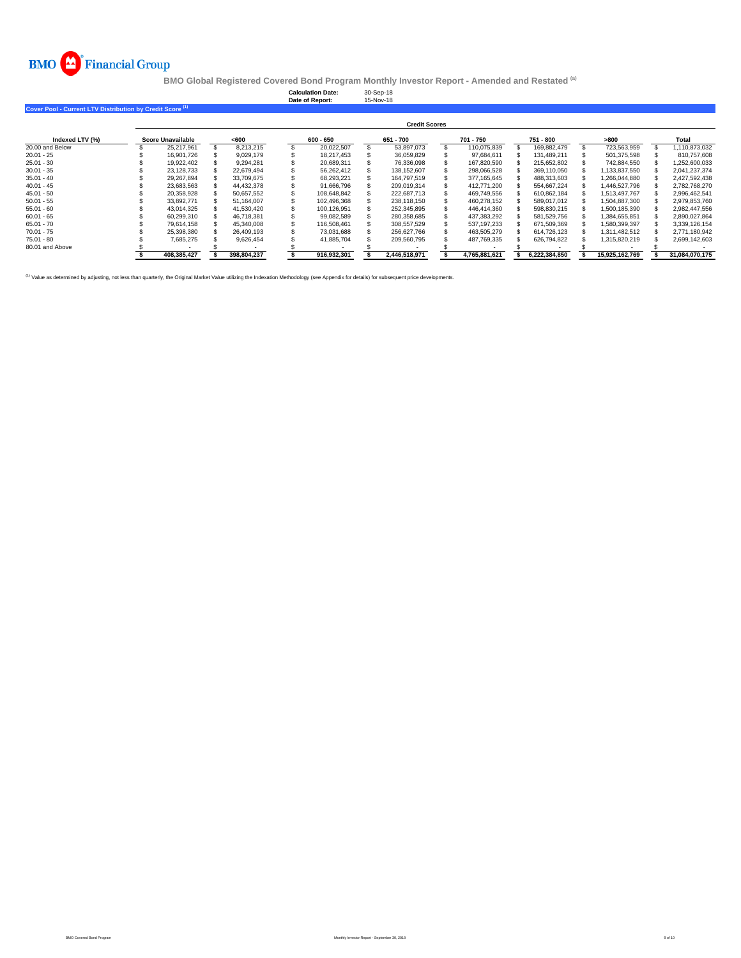

**Calculation Date:** 30-Sep-18 **Date of Report:** 15-Nov-18

| Cover Pool - Current LTV Distribution by Credit Score <sup>(1)</sup> |                      |                          |  |             |  |             |  |               |  |               |  |               |  |                |   |                |
|----------------------------------------------------------------------|----------------------|--------------------------|--|-------------|--|-------------|--|---------------|--|---------------|--|---------------|--|----------------|---|----------------|
|                                                                      | <b>Credit Scores</b> |                          |  |             |  |             |  |               |  |               |  |               |  |                |   |                |
| Indexed LTV (%)                                                      |                      | <b>Score Unavailable</b> |  | < 600       |  | 600 - 650   |  | 651 - 700     |  | 701 - 750     |  | 751 - 800     |  | >800           |   | Total          |
| 20.00 and Below                                                      |                      | 25.217.961               |  | 8.213.215   |  | 20,022,507  |  | 53.897.073    |  | 110.075.839   |  | 169.882.479   |  | 723.563.959    | s | 1.110.873.032  |
| $20.01 - 25$                                                         |                      | 16.901.726               |  | 9.029.179   |  | 18.217.453  |  | 36.059.829    |  | 97.684.611    |  | 131,489,211   |  | 501.375.598    |   | 810.757.608    |
| $25.01 - 30$                                                         |                      | 19.922.402               |  | 9.294.281   |  | 20.689.311  |  | 76,336,098    |  | 167.820.590   |  | 215.652.802   |  | 742.884.550    |   | 1,252,600,033  |
| $30.01 - 35$                                                         |                      | 23,128,733               |  | 22.679.494  |  | 56,262,412  |  | 138,152,607   |  | 298,066,528   |  | 369,110,050   |  | 1,133,837,550  |   | 2,041,237,374  |
| $35.01 - 40$                                                         |                      | 29.267.894               |  | 33,709,675  |  | 68,293,221  |  | 164,797,519   |  | 377,165,645   |  | 488,313,603   |  | 1,266,044,880  |   | 2,427,592,438  |
| $40.01 - 45$                                                         |                      | 23.683.563               |  | 44,432,378  |  | 91.666.796  |  | 209.019.314   |  | 412.771.200   |  | 554,667,224   |  | 1,446,527,796  |   | 2,782,768,270  |
| $45.01 - 50$                                                         |                      | 20.358.928               |  | 50.657.552  |  | 108.648.842 |  | 222.687.713   |  | 469.749.556   |  | 610.862.184   |  | 1.513.497.767  |   | 2.996.462.541  |
| $50.01 - 55$                                                         |                      | 33.892.771               |  | 51.164.007  |  | 102.496.368 |  | 238.118.150   |  | 460.278.152   |  | 589.017.012   |  | 1.504.887.300  |   | 2.979.853.760  |
| $55.01 - 60$                                                         |                      | 43.014.325               |  | 41.530.420  |  | 100.126.951 |  | 252.345.895   |  | 446.414.360   |  | 598.830.215   |  | 1.500.185.390  |   | 2.982.447.556  |
| $60.01 - 65$                                                         |                      | 60.299.310               |  | 46.718.381  |  | 99,082,589  |  | 280.358.685   |  | 437,383,292   |  | 581,529,756   |  | 1,384,655,851  |   | 2,890,027,864  |
| $65.01 - 70$                                                         |                      | 79.614.158               |  | 45.340.008  |  | 116,508,461 |  | 308.557.529   |  | 537.197.233   |  | 671.509.369   |  | 1.580.399.397  |   | 3.339.126.154  |
| $70.01 - 75$                                                         |                      | 25.398.380               |  | 26.409.193  |  | 73.031.688  |  | 256.627.766   |  | 463.505.279   |  | 614.726.123   |  | 1.311.482.512  |   | 2.771.180.942  |
| $75.01 - 80$                                                         |                      | 7.685.275                |  | 9.626.454   |  | 41.885.704  |  | 209.560.795   |  | 487,769,335   |  | 626.794.822   |  | 1.315.820.219  |   | 2.699.142.603  |
| 80.01 and Above                                                      |                      |                          |  |             |  |             |  |               |  |               |  |               |  |                |   |                |
|                                                                      |                      | 408.385.427              |  | 398.804.237 |  | 916.932.301 |  | 2.446.518.971 |  | 4.765.881.621 |  | 6.222.384.850 |  | 15.925.162.769 |   | 31.084.070.175 |

<sup>(1)</sup> Value as determined by adjusting, not less than quarterly, the Original Market Value utilizing the Indexation Methodology (see Appendix for details) for subsequent price development